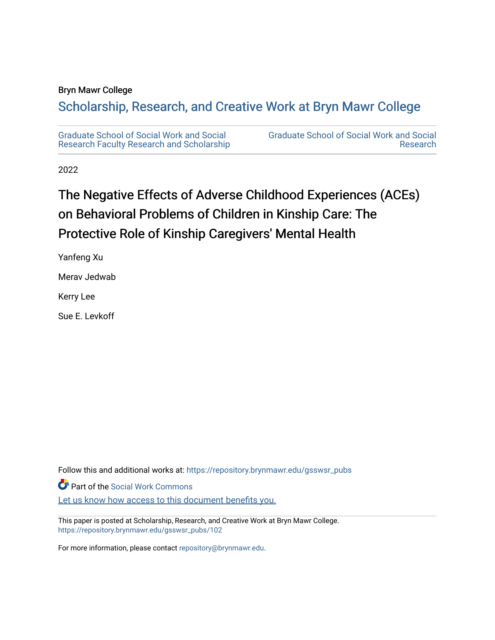### Bryn Mawr College

# Scholarship, Research, and Creative Work at Bryn Mawr College

[Graduate School of Social Work and Social](https://repository.brynmawr.edu/gsswsr_pubs)  [Research Faculty Research and Scholarship](https://repository.brynmawr.edu/gsswsr_pubs)  [Graduate School of Social Work and Social](https://repository.brynmawr.edu/gsswsr)  [Research](https://repository.brynmawr.edu/gsswsr) 

2022

# The Negative Effects of Adverse Childhood Experiences (ACEs) on Behavioral Problems of Children in Kinship Care: The Protective Role of Kinship Caregivers' Mental Health

Yanfeng Xu

Merav Jedwab

Kerry Lee

Sue E. Levkoff

Follow this and additional works at: [https://repository.brynmawr.edu/gsswsr\\_pubs](https://repository.brynmawr.edu/gsswsr_pubs?utm_source=repository.brynmawr.edu%2Fgsswsr_pubs%2F102&utm_medium=PDF&utm_campaign=PDFCoverPages)

Part of the [Social Work Commons](https://network.bepress.com/hgg/discipline/713?utm_source=repository.brynmawr.edu%2Fgsswsr_pubs%2F102&utm_medium=PDF&utm_campaign=PDFCoverPages)

[Let us know how access to this document benefits you.](http://repository.brynmawr.edu/open-access-feedback.html) 

This paper is posted at Scholarship, Research, and Creative Work at Bryn Mawr College. [https://repository.brynmawr.edu/gsswsr\\_pubs/102](https://repository.brynmawr.edu/gsswsr_pubs/102) 

For more information, please contact [repository@brynmawr.edu.](mailto:repository@brynmawr.edu)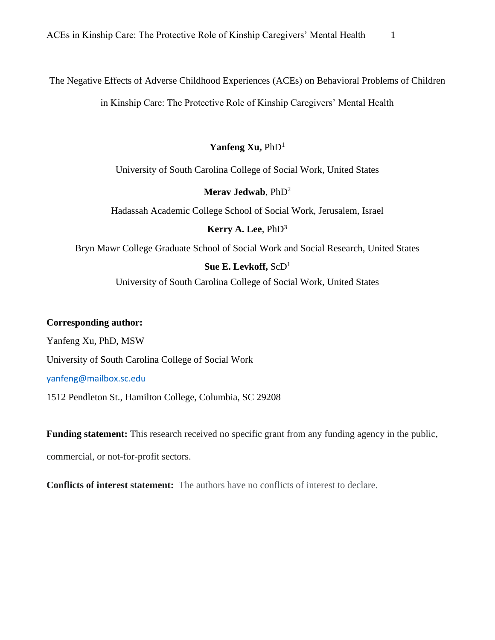The Negative Effects of Adverse Childhood Experiences (ACEs) on Behavioral Problems of Children

in Kinship Care: The Protective Role of Kinship Caregivers' Mental Health

## Yanfeng Xu, PhD<sup>1</sup>

University of South Carolina College of Social Work, United States

## **Merav Jedwab**, PhD<sup>2</sup>

Hadassah Academic College School of Social Work, Jerusalem, Israel

## **Kerry A. Lee**, PhD<sup>3</sup>

Bryn Mawr College Graduate School of Social Work and Social Research, United States

# **Sue E. Levkoff,** ScD<sup>1</sup>

University of South Carolina College of Social Work, United States

## **Corresponding author:**

Yanfeng Xu, PhD, MSW

University of South Carolina College of Social Work

[yanfeng@mailbox.sc.edu](mailto:yanfeng@mailbox.sc.edu)

1512 Pendleton St., Hamilton College, Columbia, SC 29208

**Funding statement:** This research received no specific grant from any funding agency in the public,

commercial, or not-for-profit sectors.

**Conflicts of interest statement:** The authors have no conflicts of interest to declare.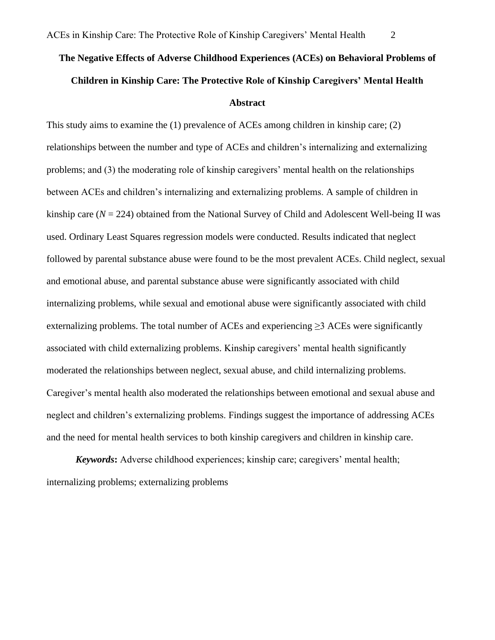# **The Negative Effects of Adverse Childhood Experiences (ACEs) on Behavioral Problems of Children in Kinship Care: The Protective Role of Kinship Caregivers' Mental Health Abstract**

This study aims to examine the (1) prevalence of ACEs among children in kinship care; (2) relationships between the number and type of ACEs and children's internalizing and externalizing problems; and (3) the moderating role of kinship caregivers' mental health on the relationships between ACEs and children's internalizing and externalizing problems. A sample of children in kinship care  $(N = 224)$  obtained from the National Survey of Child and Adolescent Well-being II was used. Ordinary Least Squares regression models were conducted. Results indicated that neglect followed by parental substance abuse were found to be the most prevalent ACEs. Child neglect, sexual and emotional abuse, and parental substance abuse were significantly associated with child internalizing problems, while sexual and emotional abuse were significantly associated with child externalizing problems. The total number of ACEs and experiencing  $\geq$  3 ACEs were significantly associated with child externalizing problems. Kinship caregivers' mental health significantly moderated the relationships between neglect, sexual abuse, and child internalizing problems. Caregiver's mental health also moderated the relationships between emotional and sexual abuse and neglect and children's externalizing problems. Findings suggest the importance of addressing ACEs and the need for mental health services to both kinship caregivers and children in kinship care.

*Keywords***:** Adverse childhood experiences; kinship care; caregivers' mental health; internalizing problems; externalizing problems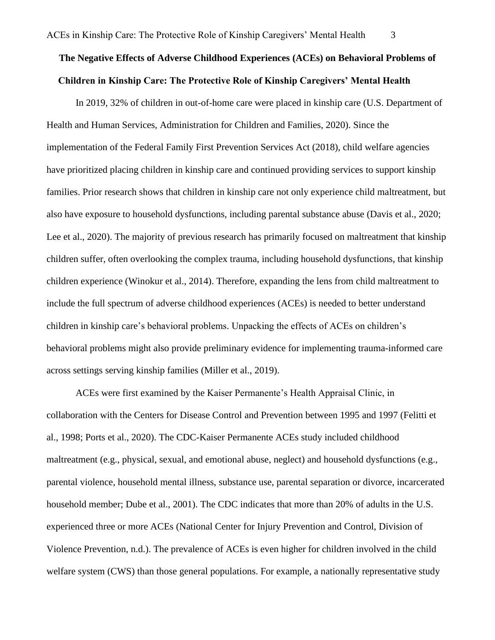# **The Negative Effects of Adverse Childhood Experiences (ACEs) on Behavioral Problems of Children in Kinship Care: The Protective Role of Kinship Caregivers' Mental Health**

In 2019, 32% of children in out-of-home care were placed in kinship care (U.S. Department of Health and Human Services, Administration for Children and Families, 2020). Since the implementation of the Federal Family First Prevention Services Act (2018), child welfare agencies have prioritized placing children in kinship care and continued providing services to support kinship families. Prior research shows that children in kinship care not only experience child maltreatment, but also have exposure to household dysfunctions, including parental substance abuse (Davis et al., 2020; Lee et al., 2020). The majority of previous research has primarily focused on maltreatment that kinship children suffer, often overlooking the complex trauma, including household dysfunctions, that kinship children experience (Winokur et al., 2014). Therefore, expanding the lens from child maltreatment to include the full spectrum of adverse childhood experiences (ACEs) is needed to better understand children in kinship care's behavioral problems. Unpacking the effects of ACEs on children's behavioral problems might also provide preliminary evidence for implementing trauma-informed care across settings serving kinship families (Miller et al., 2019).

ACEs were first examined by the Kaiser Permanente's Health Appraisal Clinic, in collaboration with the Centers for Disease Control and Prevention between 1995 and 1997 (Felitti et al., 1998; Ports et al., 2020). The CDC-Kaiser Permanente ACEs study included childhood maltreatment (e.g., physical, sexual, and emotional abuse, neglect) and household dysfunctions (e.g., parental violence, household mental illness, substance use, parental separation or divorce, incarcerated household member; Dube et al., 2001). The CDC indicates that more than 20% of adults in the U.S. experienced three or more ACEs (National Center for Injury Prevention and Control, Division of Violence Prevention, n.d.). The prevalence of ACEs is even higher for children involved in the child welfare system (CWS) than those general populations. For example, a nationally representative study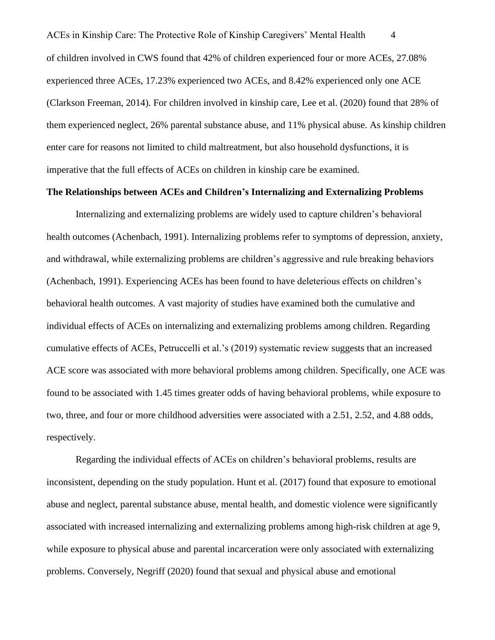ACEs in Kinship Care: The Protective Role of Kinship Caregivers' Mental Health 4 of children involved in CWS found that 42% of children experienced four or more ACEs, 27.08% experienced three ACEs, 17.23% experienced two ACEs, and 8.42% experienced only one ACE (Clarkson Freeman, 2014). For children involved in kinship care, Lee et al. (2020) found that 28% of them experienced neglect, 26% parental substance abuse, and 11% physical abuse. As kinship children enter care for reasons not limited to child maltreatment, but also household dysfunctions, it is imperative that the full effects of ACEs on children in kinship care be examined.

#### **The Relationships between ACEs and Children's Internalizing and Externalizing Problems**

Internalizing and externalizing problems are widely used to capture children's behavioral health outcomes (Achenbach, 1991). Internalizing problems refer to symptoms of depression, anxiety, and withdrawal, while externalizing problems are children's aggressive and rule breaking behaviors (Achenbach, 1991). Experiencing ACEs has been found to have deleterious effects on children's behavioral health outcomes. A vast majority of studies have examined both the cumulative and individual effects of ACEs on internalizing and externalizing problems among children. Regarding cumulative effects of ACEs, Petruccelli et al.'s (2019) systematic review suggests that an increased ACE score was associated with more behavioral problems among children. Specifically, one ACE was found to be associated with 1.45 times greater odds of having behavioral problems, while exposure to two, three, and four or more childhood adversities were associated with a 2.51, 2.52, and 4.88 odds, respectively.

Regarding the individual effects of ACEs on children's behavioral problems, results are inconsistent, depending on the study population. Hunt et al. (2017) found that exposure to emotional abuse and neglect, parental substance abuse, mental health, and domestic violence were significantly associated with increased internalizing and externalizing problems among high-risk children at age 9, while exposure to physical abuse and parental incarceration were only associated with externalizing problems. Conversely, Negriff (2020) found that sexual and physical abuse and emotional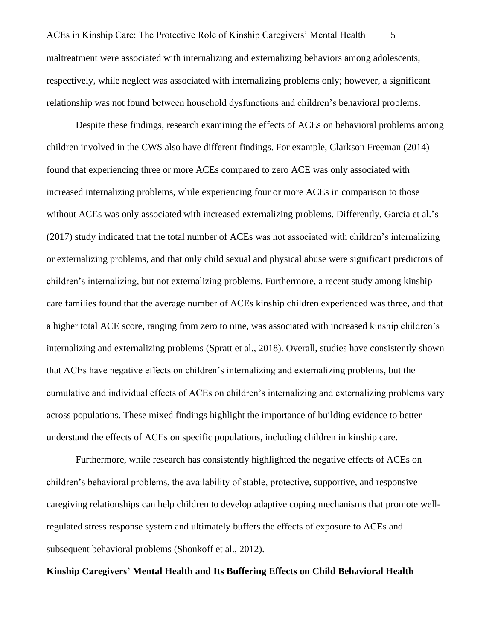ACEs in Kinship Care: The Protective Role of Kinship Caregivers' Mental Health 5 maltreatment were associated with internalizing and externalizing behaviors among adolescents, respectively, while neglect was associated with internalizing problems only; however, a significant relationship was not found between household dysfunctions and children's behavioral problems.

Despite these findings, research examining the effects of ACEs on behavioral problems among children involved in the CWS also have different findings. For example, Clarkson Freeman (2014) found that experiencing three or more ACEs compared to zero ACE was only associated with increased internalizing problems, while experiencing four or more ACEs in comparison to those without ACEs was only associated with increased externalizing problems. Differently, Garcia et al.'s (2017) study indicated that the total number of ACEs was not associated with children's internalizing or externalizing problems, and that only child sexual and physical abuse were significant predictors of children's internalizing, but not externalizing problems. Furthermore, a recent study among kinship care families found that the average number of ACEs kinship children experienced was three, and that a higher total ACE score, ranging from zero to nine, was associated with increased kinship children's internalizing and externalizing problems (Spratt et al., 2018). Overall, studies have consistently shown that ACEs have negative effects on children's internalizing and externalizing problems, but the cumulative and individual effects of ACEs on children's internalizing and externalizing problems vary across populations. These mixed findings highlight the importance of building evidence to better understand the effects of ACEs on specific populations, including children in kinship care.

Furthermore, while research has consistently highlighted the negative effects of ACEs on children's behavioral problems, the availability of stable, protective, supportive, and responsive caregiving relationships can help children to develop adaptive coping mechanisms that promote wellregulated stress response system and ultimately buffers the effects of exposure to ACEs and subsequent behavioral problems (Shonkoff et al., 2012).

#### **Kinship Caregivers' Mental Health and Its Buffering Effects on Child Behavioral Health**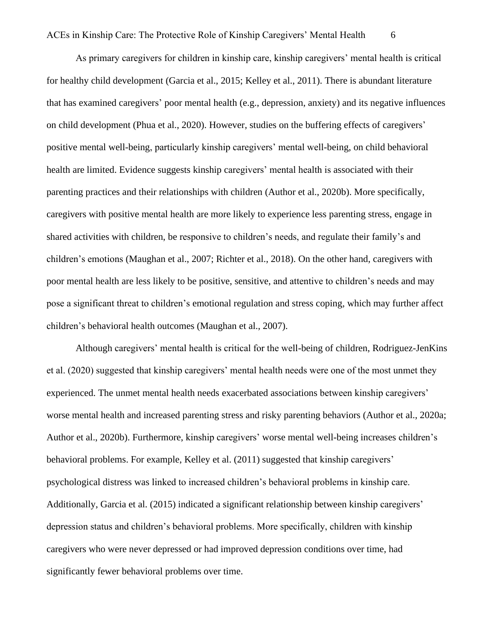As primary caregivers for children in kinship care, kinship caregivers' mental health is critical for healthy child development (Garcia et al., 2015; Kelley et al., 2011). There is abundant literature that has examined caregivers' poor mental health (e.g., depression, anxiety) and its negative influences on child development (Phua et al., 2020). However, studies on the buffering effects of caregivers' positive mental well-being, particularly kinship caregivers' mental well-being, on child behavioral health are limited. Evidence suggests kinship caregivers' mental health is associated with their parenting practices and their relationships with children (Author et al., 2020b). More specifically, caregivers with positive mental health are more likely to experience less parenting stress, engage in shared activities with children, be responsive to children's needs, and regulate their family's and children's emotions (Maughan et al., 2007; Richter et al., 2018). On the other hand, caregivers with poor mental health are less likely to be positive, sensitive, and attentive to children's needs and may pose a significant threat to children's emotional regulation and stress coping, which may further affect children's behavioral health outcomes (Maughan et al., 2007).

Although caregivers' mental health is critical for the well-being of children, Rodriguez-JenKins et al. (2020) suggested that kinship caregivers' mental health needs were one of the most unmet they experienced. The unmet mental health needs exacerbated associations between kinship caregivers' worse mental health and increased parenting stress and risky parenting behaviors (Author et al., 2020a; Author et al., 2020b). Furthermore, kinship caregivers' worse mental well-being increases children's behavioral problems. For example, Kelley et al. (2011) suggested that kinship caregivers' psychological distress was linked to increased children's behavioral problems in kinship care. Additionally, Garcia et al. (2015) indicated a significant relationship between kinship caregivers' depression status and children's behavioral problems. More specifically, children with kinship caregivers who were never depressed or had improved depression conditions over time, had significantly fewer behavioral problems over time.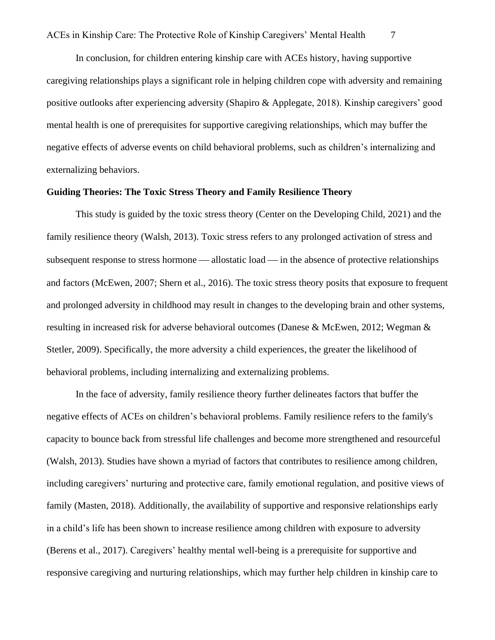In conclusion, for children entering kinship care with ACEs history, having supportive caregiving relationships plays a significant role in helping children cope with adversity and remaining positive outlooks after experiencing adversity (Shapiro & Applegate, 2018). Kinship caregivers' good mental health is one of prerequisites for supportive caregiving relationships, which may buffer the negative effects of adverse events on child behavioral problems, such as children's internalizing and externalizing behaviors.

#### **Guiding Theories: The Toxic Stress Theory and Family Resilience Theory**

This study is guided by the toxic stress theory (Center on the Developing Child, 2021) and the family resilience theory (Walsh, 2013). Toxic stress refers to any prolonged activation of stress and subsequent response to stress hormone — allostatic load — in the absence of protective relationships and factors (McEwen, 2007; Shern et al., 2016). The toxic stress theory posits that exposure to frequent and prolonged adversity in childhood may result in changes to the developing brain and other systems, resulting in increased risk for adverse behavioral outcomes (Danese & McEwen, 2012; Wegman & Stetler, 2009). Specifically, the more adversity a child experiences, the greater the likelihood of behavioral problems, including internalizing and externalizing problems.

In the face of adversity, family resilience theory further delineates factors that buffer the negative effects of ACEs on children's behavioral problems. Family resilience refers to the family's capacity to bounce back from stressful life challenges and become more strengthened and resourceful (Walsh, 2013). Studies have shown a myriad of factors that contributes to resilience among children, including caregivers' nurturing and protective care, family emotional regulation, and positive views of family (Masten, 2018). Additionally, the availability of supportive and responsive relationships early in a child's life has been shown to increase resilience among children with exposure to adversity (Berens et al., 2017). Caregivers' healthy mental well-being is a prerequisite for supportive and responsive caregiving and nurturing relationships, which may further help children in kinship care to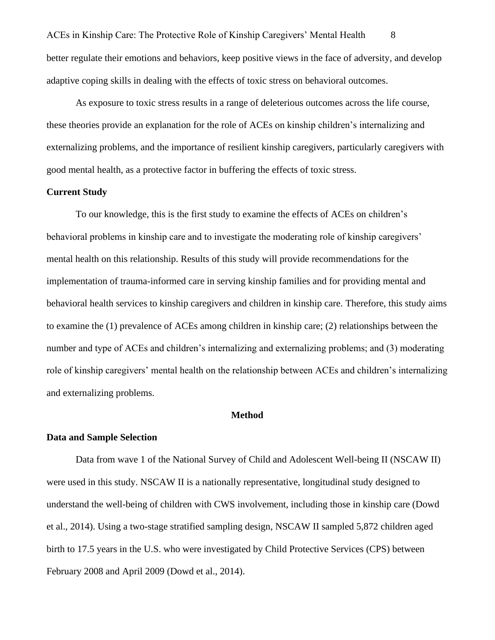ACEs in Kinship Care: The Protective Role of Kinship Caregivers' Mental Health 8 better regulate their emotions and behaviors, keep positive views in the face of adversity, and develop adaptive coping skills in dealing with the effects of toxic stress on behavioral outcomes.

As exposure to toxic stress results in a range of deleterious outcomes across the life course, these theories provide an explanation for the role of ACEs on kinship children's internalizing and externalizing problems, and the importance of resilient kinship caregivers, particularly caregivers with good mental health, as a protective factor in buffering the effects of toxic stress.

#### **Current Study**

To our knowledge, this is the first study to examine the effects of ACEs on children's behavioral problems in kinship care and to investigate the moderating role of kinship caregivers' mental health on this relationship. Results of this study will provide recommendations for the implementation of trauma-informed care in serving kinship families and for providing mental and behavioral health services to kinship caregivers and children in kinship care. Therefore, this study aims to examine the (1) prevalence of ACEs among children in kinship care; (2) relationships between the number and type of ACEs and children's internalizing and externalizing problems; and (3) moderating role of kinship caregivers' mental health on the relationship between ACEs and children's internalizing and externalizing problems.

#### **Method**

#### **Data and Sample Selection**

Data from wave 1 of the National Survey of Child and Adolescent Well-being II (NSCAW II) were used in this study. NSCAW II is a nationally representative, longitudinal study designed to understand the well-being of children with CWS involvement, including those in kinship care (Dowd et al., 2014). Using a two-stage stratified sampling design, NSCAW II sampled 5,872 children aged birth to 17.5 years in the U.S. who were investigated by Child Protective Services (CPS) between February 2008 and April 2009 (Dowd et al., 2014).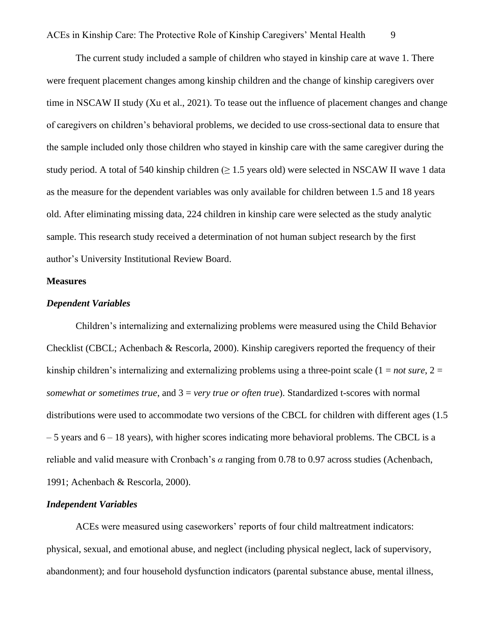The current study included a sample of children who stayed in kinship care at wave 1. There were frequent placement changes among kinship children and the change of kinship caregivers over time in NSCAW II study (Xu et al., 2021). To tease out the influence of placement changes and change of caregivers on children's behavioral problems, we decided to use cross-sectional data to ensure that the sample included only those children who stayed in kinship care with the same caregiver during the study period. A total of 540 kinship children ( $> 1.5$  years old) were selected in NSCAW II wave 1 data as the measure for the dependent variables was only available for children between 1.5 and 18 years old. After eliminating missing data, 224 children in kinship care were selected as the study analytic sample. This research study received a determination of not human subject research by the first author's University Institutional Review Board.

#### **Measures**

#### *Dependent Variables*

Children's internalizing and externalizing problems were measured using the Child Behavior Checklist (CBCL; Achenbach & Rescorla, 2000). Kinship caregivers reported the frequency of their kinship children's internalizing and externalizing problems using a three-point scale  $(1 = not sure, 2 =$ *somewhat or sometimes true*, and 3 = *very true or often true*). Standardized t-scores with normal distributions were used to accommodate two versions of the CBCL for children with different ages (1.5)  $-5$  years and  $6 - 18$  years), with higher scores indicating more behavioral problems. The CBCL is a reliable and valid measure with Cronbach's *α* ranging from 0.78 to 0.97 across studies [\(Achenbach,](https://www.sciencedirect.com/science/article/pii/S0145213420301381?casa_token=ADAQEoBR_R8AAAAA:tP6rScyUtSiVg2ysLax5qjlpnR2Pk3qwQi51FFycfSQok01vhK-z-MItxUaPW3qfVQlLj6JO#bib0005)  [1991;](https://www.sciencedirect.com/science/article/pii/S0145213420301381?casa_token=ADAQEoBR_R8AAAAA:tP6rScyUtSiVg2ysLax5qjlpnR2Pk3qwQi51FFycfSQok01vhK-z-MItxUaPW3qfVQlLj6JO#bib0005) Achenbach & Rescorla, 2000).

#### *Independent Variables*

ACEs were measured using caseworkers' reports of four child maltreatment indicators: physical, sexual, and emotional abuse, and neglect (including physical neglect, lack of supervisory, abandonment); and four household dysfunction indicators (parental substance abuse, mental illness,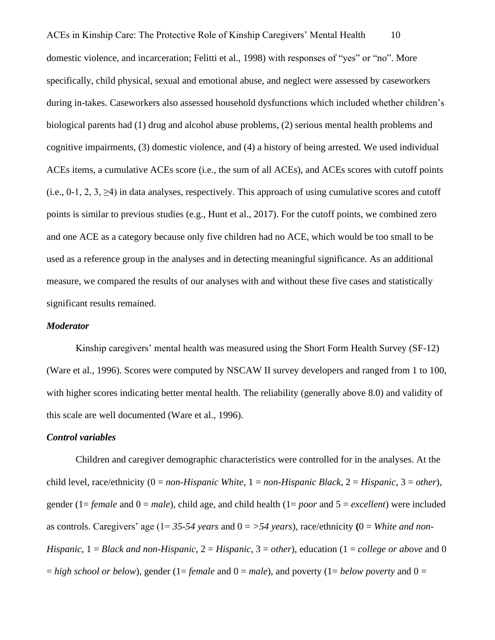ACEs in Kinship Care: The Protective Role of Kinship Caregivers' Mental Health 10 domestic violence, and incarceration; Felitti et al., 1998) with responses of "yes" or "no". More specifically, child physical, sexual and emotional abuse, and neglect were assessed by caseworkers during in-takes. Caseworkers also assessed household dysfunctions which included whether children's biological parents had (1) drug and alcohol abuse problems, (2) serious mental health problems and cognitive impairments, (3) domestic violence, and (4) a history of being arrested. We used individual ACEs items, a cumulative ACEs score (i.e., the sum of all ACEs), and ACEs scores with cutoff points (i.e., 0-1, 2, 3,  $\geq$ 4) in data analyses, respectively. This approach of using cumulative scores and cutoff points is similar to previous studies (e.g., Hunt et al., 2017). For the cutoff points, we combined zero and one ACE as a category because only five children had no ACE, which would be too small to be used as a reference group in the analyses and in detecting meaningful significance. As an additional measure, we compared the results of our analyses with and without these five cases and statistically significant results remained.

#### *Moderator*

Kinship caregivers' mental health was measured using the Short Form Health Survey (SF-12) (Ware et al., 1996). Scores were computed by NSCAW II survey developers and ranged from 1 to 100, with higher scores indicating better mental health. The reliability (generally above 8.0) and validity of this scale are well documented (Ware et al., 1996).

#### *Control variables*

Children and caregiver demographic characteristics were controlled for in the analyses. At the child level, race/ethnicity (0 = *non-Hispanic White*, 1 = *non-Hispanic Black*, 2 = *Hispanic*, 3 = *other*), gender (1= *female* and 0 = *male*), child age, and child health (1= *poor* and 5 = *excellent*) were included as controls. Caregivers' age (1= *35-54 years* and 0 = *>54 years*), race/ethnicity **(**0 = *White and non-Hispanic*, 1 = *Black and non-Hispanic*, 2 = *Hispanic*, 3 = *other*), education (1 = *college or above* and 0  $=$  *high school or below*), gender (1= *female* and 0 = *male*), and poverty (1= *below poverty* and 0 =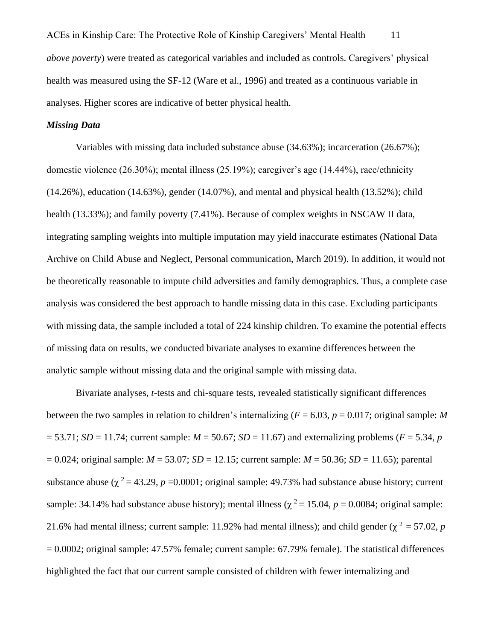ACEs in Kinship Care: The Protective Role of Kinship Caregivers' Mental Health 11 *above poverty*) were treated as categorical variables and included as controls. Caregivers' physical health was measured using the SF-12 (Ware et al., 1996) and treated as a continuous variable in analyses. Higher scores are indicative of better physical health.

#### *Missing Data*

Variables with missing data included substance abuse (34.63%); incarceration (26.67%); domestic violence (26.30%); mental illness (25.19%); caregiver's age (14.44%), race/ethnicity (14.26%), education (14.63%), gender (14.07%), and mental and physical health (13.52%); child health (13.33%); and family poverty (7.41%). Because of complex weights in NSCAW II data, integrating sampling weights into multiple imputation may yield inaccurate estimates (National Data Archive on Child Abuse and Neglect, Personal communication, March 2019). In addition, it would not be theoretically reasonable to impute child adversities and family demographics. Thus, a complete case analysis was considered the best approach to handle missing data in this case. Excluding participants with missing data, the sample included a total of 224 kinship children. To examine the potential effects of missing data on results, we conducted bivariate analyses to examine differences between the analytic sample without missing data and the original sample with missing data.

Bivariate analyses, *t*-tests and chi-square tests, revealed statistically significant differences between the two samples in relation to children's internalizing ( $F = 6.03$ ,  $p = 0.017$ ; original sample: *M*  $= 53.71$ ; *SD* = 11.74; current sample: *M* = 50.67; *SD* = 11.67) and externalizing problems (*F* = 5.34, *p*  $= 0.024$ ; original sample: *M* = 53.07; *SD* = 12.15; current sample: *M* = 50.36; *SD* = 11.65); parental substance abuse ( $\chi^2$  = 43.29, *p* = 0.0001; original sample: 49.73% had substance abuse history; current sample: 34.14% had substance abuse history); mental illness ( $\chi^2 = 15.04$ ,  $p = 0.0084$ ; original sample: 21.6% had mental illness; current sample: 11.92% had mental illness); and child gender ( $\chi^2$  = 57.02, *p* = 0.0002; original sample: 47.57% female; current sample: 67.79% female). The statistical differences highlighted the fact that our current sample consisted of children with fewer internalizing and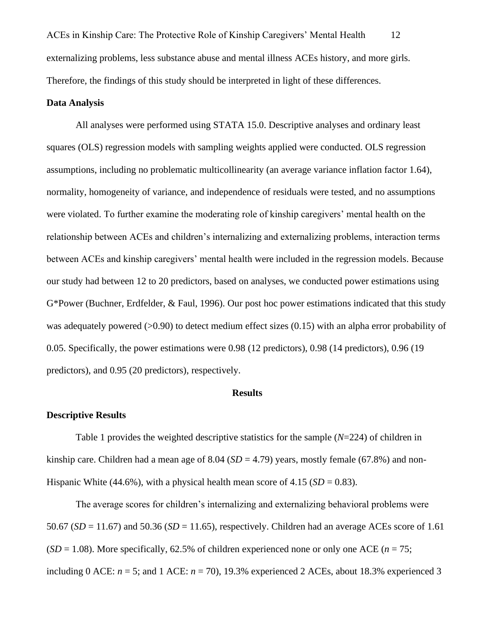ACEs in Kinship Care: The Protective Role of Kinship Caregivers' Mental Health 12 externalizing problems, less substance abuse and mental illness ACEs history, and more girls. Therefore, the findings of this study should be interpreted in light of these differences.

#### **Data Analysis**

All analyses were performed using STATA 15.0. Descriptive analyses and ordinary least squares (OLS) regression models with sampling weights applied were conducted. OLS regression assumptions, including no problematic multicollinearity (an average variance inflation factor 1.64), normality, homogeneity of variance, and independence of residuals were tested, and no assumptions were violated. To further examine the moderating role of kinship caregivers' mental health on the relationship between ACEs and children's internalizing and externalizing problems, interaction terms between ACEs and kinship caregivers' mental health were included in the regression models. Because our study had between 12 to 20 predictors, based on analyses, we conducted power estimations using G\*Power (Buchner, Erdfelder, & Faul, 1996). Our post hoc power estimations indicated that this study was adequately powered  $(>0.90)$  to detect medium effect sizes  $(0.15)$  with an alpha error probability of 0.05. Specifically, the power estimations were 0.98 (12 predictors), 0.98 (14 predictors), 0.96 (19 predictors), and 0.95 (20 predictors), respectively.

#### **Results**

#### **Descriptive Results**

Table 1 provides the weighted descriptive statistics for the sample (*N*=224) of children in kinship care. Children had a mean age of  $8.04$  ( $SD = 4.79$ ) years, mostly female (67.8%) and non-Hispanic White (44.6%), with a physical health mean score of 4.15 ( $SD = 0.83$ ).

The average scores for children's internalizing and externalizing behavioral problems were 50.67 (*SD* = 11.67) and 50.36 (*SD* = 11.65), respectively. Children had an average ACEs score of 1.61  $(SD = 1.08)$ . More specifically, 62.5% of children experienced none or only one ACE ( $n = 75$ ; including 0 ACE:  $n = 5$ ; and 1 ACE:  $n = 70$ ), 19.3% experienced 2 ACEs, about 18.3% experienced 3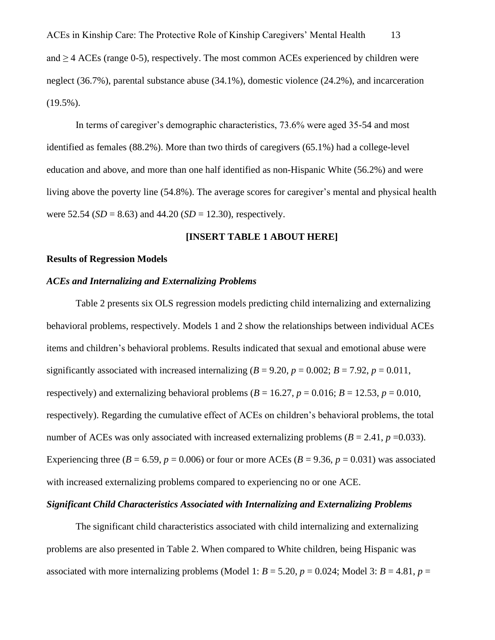ACEs in Kinship Care: The Protective Role of Kinship Caregivers' Mental Health 13 and ≥ 4 ACEs (range 0-5), respectively. The most common ACEs experienced by children were neglect (36.7%), parental substance abuse (34.1%), domestic violence (24.2%), and incarceration  $(19.5\%)$ .

In terms of caregiver's demographic characteristics, 73.6% were aged 35-54 and most identified as females (88.2%). More than two thirds of caregivers (65.1%) had a college-level education and above, and more than one half identified as non-Hispanic White (56.2%) and were living above the poverty line (54.8%). The average scores for caregiver's mental and physical health were  $52.54$  (*SD* = 8.63) and  $44.20$  (*SD* = 12.30), respectively.

#### **[INSERT TABLE 1 ABOUT HERE]**

#### **Results of Regression Models**

#### *ACEs and Internalizing and Externalizing Problems*

Table 2 presents six OLS regression models predicting child internalizing and externalizing behavioral problems, respectively. Models 1 and 2 show the relationships between individual ACEs items and children's behavioral problems. Results indicated that sexual and emotional abuse were significantly associated with increased internalizing  $(B = 9.20, p = 0.002; B = 7.92, p = 0.011$ , respectively) and externalizing behavioral problems ( $B = 16.27$ ,  $p = 0.016$ ;  $B = 12.53$ ,  $p = 0.010$ , respectively). Regarding the cumulative effect of ACEs on children's behavioral problems, the total number of ACEs was only associated with increased externalizing problems  $(B = 2.41, p = 0.033)$ . Experiencing three ( $B = 6.59$ ,  $p = 0.006$ ) or four or more ACEs ( $B = 9.36$ ,  $p = 0.031$ ) was associated with increased externalizing problems compared to experiencing no or one ACE.

#### *Significant Child Characteristics Associated with Internalizing and Externalizing Problems*

The significant child characteristics associated with child internalizing and externalizing problems are also presented in Table 2. When compared to White children, being Hispanic was associated with more internalizing problems (Model 1:  $B = 5.20$ ,  $p = 0.024$ ; Model 3:  $B = 4.81$ ,  $p =$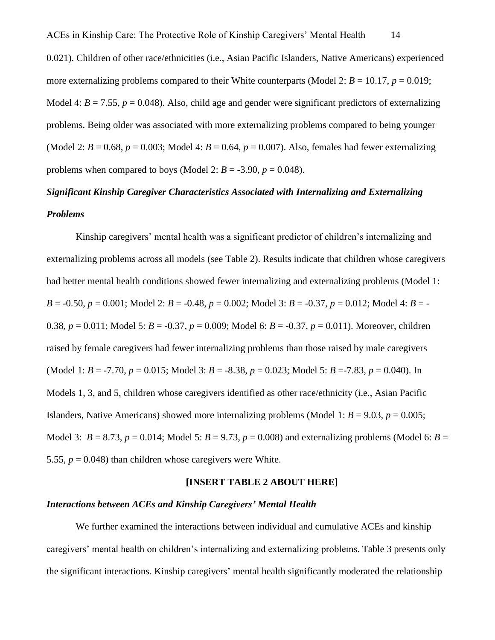0.021). Children of other race/ethnicities (i.e., Asian Pacific Islanders, Native Americans) experienced more externalizing problems compared to their White counterparts (Model 2:  $B = 10.17$ ,  $p = 0.019$ ; Model 4:  $B = 7.55$ ,  $p = 0.048$ ). Also, child age and gender were significant predictors of externalizing problems. Being older was associated with more externalizing problems compared to being younger (Model 2:  $B = 0.68$ ,  $p = 0.003$ ; Model 4:  $B = 0.64$ ,  $p = 0.007$ ). Also, females had fewer externalizing problems when compared to boys (Model 2:  $B = -3.90$ ,  $p = 0.048$ ).

# *Significant Kinship Caregiver Characteristics Associated with Internalizing and Externalizing Problems*

Kinship caregivers' mental health was a significant predictor of children's internalizing and externalizing problems across all models (see Table 2). Results indicate that children whose caregivers had better mental health conditions showed fewer internalizing and externalizing problems (Model 1: *B* = -0.50, *p* = 0.001; Model 2: *B* = -0.48, *p* = 0.002; Model 3: *B* = -0.37, *p* = 0.012; Model 4: *B* = - 0.38, *p* = 0.011; Model 5: *B* = -0.37, *p* = 0.009; Model 6: *B* = -0.37, *p* = 0.011). Moreover, children raised by female caregivers had fewer internalizing problems than those raised by male caregivers (Model 1: *B* = -7.70, *p* = 0.015; Model 3: *B* = -8.38, *p* = 0.023; Model 5: *B* = -7.83, *p* = 0.040). In Models 1, 3, and 5, children whose caregivers identified as other race/ethnicity (i.e., Asian Pacific Islanders, Native Americans) showed more internalizing problems (Model 1:  $B = 9.03$ ,  $p = 0.005$ ; Model 3:  $B = 8.73$ ,  $p = 0.014$ ; Model 5:  $B = 9.73$ ,  $p = 0.008$ ) and externalizing problems (Model 6:  $B =$ 5.55,  $p = 0.048$ ) than children whose caregivers were White.

#### **[INSERT TABLE 2 ABOUT HERE]**

#### *Interactions between ACEs and Kinship Caregivers' Mental Health*

We further examined the interactions between individual and cumulative ACEs and kinship caregivers' mental health on children's internalizing and externalizing problems. Table 3 presents only the significant interactions. Kinship caregivers' mental health significantly moderated the relationship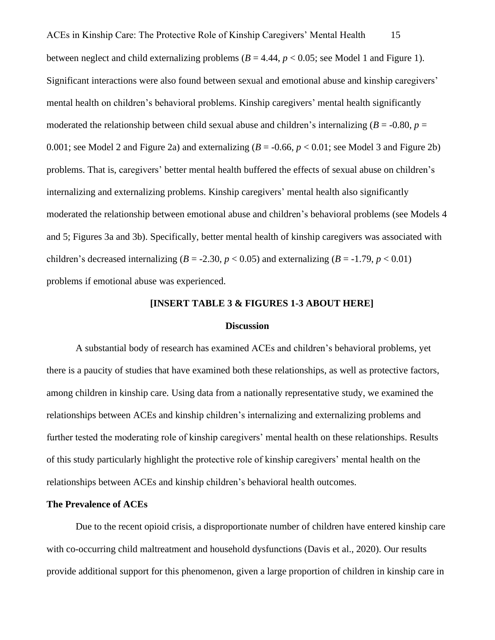ACEs in Kinship Care: The Protective Role of Kinship Caregivers' Mental Health 15 between neglect and child externalizing problems  $(B = 4.44, p < 0.05$ ; see Model 1 and Figure 1). Significant interactions were also found between sexual and emotional abuse and kinship caregivers' mental health on children's behavioral problems. Kinship caregivers' mental health significantly moderated the relationship between child sexual abuse and children's internalizing  $(B = -0.80, p =$ 0.001; see Model 2 and Figure 2a) and externalizing  $(B = -0.66, p < 0.01$ ; see Model 3 and Figure 2b) problems. That is, caregivers' better mental health buffered the effects of sexual abuse on children's internalizing and externalizing problems. Kinship caregivers' mental health also significantly moderated the relationship between emotional abuse and children's behavioral problems (see Models 4 and 5; Figures 3a and 3b). Specifically, better mental health of kinship caregivers was associated with children's decreased internalizing ( $B = -2.30$ ,  $p < 0.05$ ) and externalizing ( $B = -1.79$ ,  $p < 0.01$ ) problems if emotional abuse was experienced.

#### **[INSERT TABLE 3 & FIGURES 1-3 ABOUT HERE]**

#### **Discussion**

A substantial body of research has examined ACEs and children's behavioral problems, yet there is a paucity of studies that have examined both these relationships, as well as protective factors, among children in kinship care. Using data from a nationally representative study, we examined the relationships between ACEs and kinship children's internalizing and externalizing problems and further tested the moderating role of kinship caregivers' mental health on these relationships. Results of this study particularly highlight the protective role of kinship caregivers' mental health on the relationships between ACEs and kinship children's behavioral health outcomes.

#### **The Prevalence of ACEs**

Due to the recent opioid crisis, a disproportionate number of children have entered kinship care with co-occurring child maltreatment and household dysfunctions (Davis et al., 2020). Our results provide additional support for this phenomenon, given a large proportion of children in kinship care in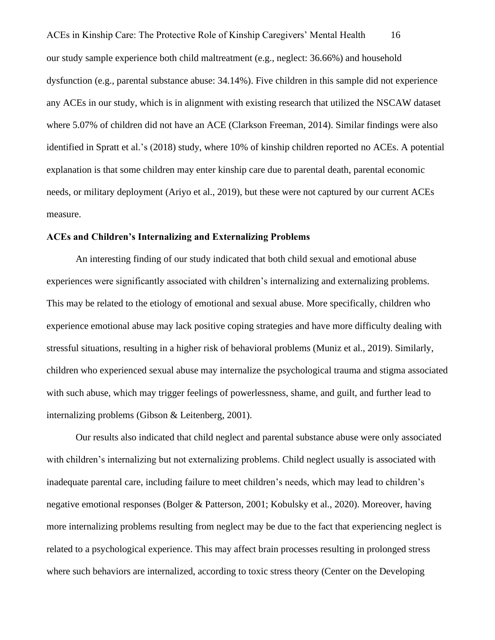ACEs in Kinship Care: The Protective Role of Kinship Caregivers' Mental Health 16 our study sample experience both child maltreatment (e.g., neglect: 36.66%) and household dysfunction (e.g., parental substance abuse: 34.14%). Five children in this sample did not experience any ACEs in our study, which is in alignment with existing research that utilized the NSCAW dataset where 5.07% of children did not have an ACE (Clarkson Freeman, 2014). Similar findings were also identified in Spratt et al.'s (2018) study, where 10% of kinship children reported no ACEs. A potential explanation is that some children may enter kinship care due to parental death, parental economic needs, or military deployment (Ariyo et al., 2019), but these were not captured by our current ACEs measure.

#### **ACEs and Children's Internalizing and Externalizing Problems**

An interesting finding of our study indicated that both child sexual and emotional abuse experiences were significantly associated with children's internalizing and externalizing problems. This may be related to the etiology of emotional and sexual abuse. More specifically, children who experience emotional abuse may lack positive coping strategies and have more difficulty dealing with stressful situations, resulting in a higher risk of behavioral problems (Muniz et al., 2019). Similarly, children who experienced sexual abuse may internalize the psychological trauma and stigma associated with such abuse, which may trigger feelings of powerlessness, shame, and guilt, and further lead to internalizing problems (Gibson & Leitenberg, 2001).

Our results also indicated that child neglect and parental substance abuse were only associated with children's internalizing but not externalizing problems. Child neglect usually is associated with inadequate parental care, including failure to meet children's needs, which may lead to children's negative emotional responses (Bolger & Patterson, 2001; Kobulsky et al., 2020). Moreover, having more internalizing problems resulting from neglect may be due to the fact that experiencing neglect is related to a psychological experience. This may affect brain processes resulting in prolonged stress where such behaviors are internalized, according to toxic stress theory (Center on the Developing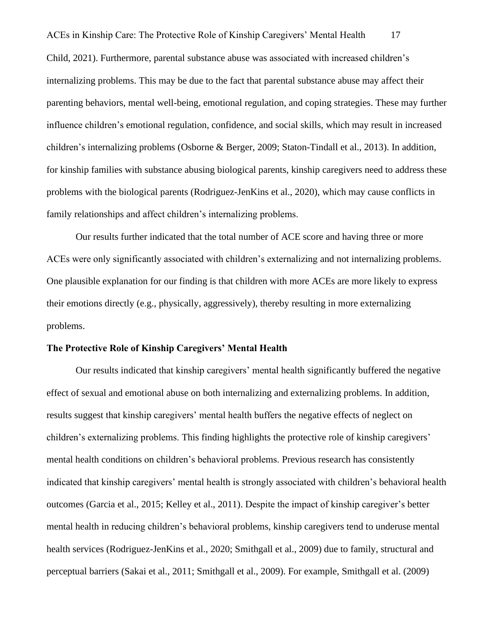ACEs in Kinship Care: The Protective Role of Kinship Caregivers' Mental Health 17 Child, 2021). Furthermore, parental substance abuse was associated with increased children's internalizing problems. This may be due to the fact that parental substance abuse may affect their parenting behaviors, mental well-being, emotional regulation, and coping strategies. These may further influence children's emotional regulation, confidence, and social skills, which may result in increased children's internalizing problems (Osborne & Berger, 2009; Staton-Tindall et al., 2013). In addition, for kinship families with substance abusing biological parents, kinship caregivers need to address these problems with the biological parents (Rodriguez-JenKins et al., 2020), which may cause conflicts in family relationships and affect children's internalizing problems.

Our results further indicated that the total number of ACE score and having three or more ACEs were only significantly associated with children's externalizing and not internalizing problems. One plausible explanation for our finding is that children with more ACEs are more likely to express their emotions directly (e.g., physically, aggressively), thereby resulting in more externalizing problems.

#### **The Protective Role of Kinship Caregivers' Mental Health**

Our results indicated that kinship caregivers' mental health significantly buffered the negative effect of sexual and emotional abuse on both internalizing and externalizing problems. In addition, results suggest that kinship caregivers' mental health buffers the negative effects of neglect on children's externalizing problems. This finding highlights the protective role of kinship caregivers' mental health conditions on children's behavioral problems. Previous research has consistently indicated that kinship caregivers' mental health is strongly associated with children's behavioral health outcomes (Garcia et al., 2015; Kelley et al., 2011). Despite the impact of kinship caregiver's better mental health in reducing children's behavioral problems, kinship caregivers tend to underuse mental health services (Rodriguez-JenKins et al., 2020; Smithgall et al., 2009) due to family, structural and perceptual barriers (Sakai et al., 2011; Smithgall et al., 2009). For example, Smithgall et al. (2009)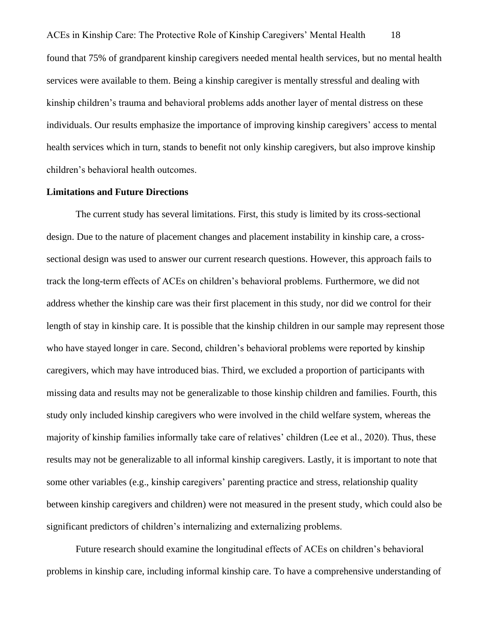ACEs in Kinship Care: The Protective Role of Kinship Caregivers' Mental Health 18 found that 75% of grandparent kinship caregivers needed mental health services, but no mental health services were available to them. Being a kinship caregiver is mentally stressful and dealing with kinship children's trauma and behavioral problems adds another layer of mental distress on these individuals. Our results emphasize the importance of improving kinship caregivers' access to mental health services which in turn, stands to benefit not only kinship caregivers, but also improve kinship children's behavioral health outcomes.

#### **Limitations and Future Directions**

The current study has several limitations. First, this study is limited by its cross-sectional design. Due to the nature of placement changes and placement instability in kinship care, a crosssectional design was used to answer our current research questions. However, this approach fails to track the long-term effects of ACEs on children's behavioral problems. Furthermore, we did not address whether the kinship care was their first placement in this study, nor did we control for their length of stay in kinship care. It is possible that the kinship children in our sample may represent those who have stayed longer in care. Second, children's behavioral problems were reported by kinship caregivers, which may have introduced bias. Third, we excluded a proportion of participants with missing data and results may not be generalizable to those kinship children and families. Fourth, this study only included kinship caregivers who were involved in the child welfare system, whereas the majority of kinship families informally take care of relatives' children (Lee et al., 2020). Thus, these results may not be generalizable to all informal kinship caregivers. Lastly, it is important to note that some other variables (e.g., kinship caregivers' parenting practice and stress, relationship quality between kinship caregivers and children) were not measured in the present study, which could also be significant predictors of children's internalizing and externalizing problems.

Future research should examine the longitudinal effects of ACEs on children's behavioral problems in kinship care, including informal kinship care. To have a comprehensive understanding of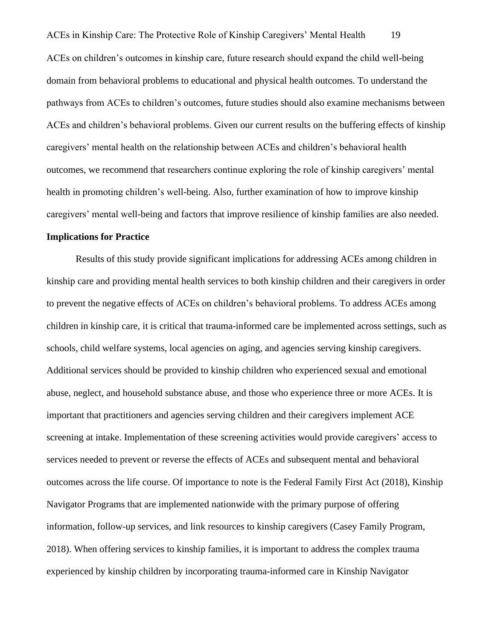ACEs in Kinship Care: The Protective Role of Kinship Caregivers' Mental Health 19 ACEs on children's outcomes in kinship care, future research should expand the child well-being domain from behavioral problems to educational and physical health outcomes. To understand the pathways from ACEs to children's outcomes, future studies should also examine mechanisms between ACEs and children's behavioral problems. Given our current results on the buffering effects of kinship caregivers' mental health on the relationship between ACEs and children's behavioral health outcomes, we recommend that researchers continue exploring the role of kinship caregivers' mental health in promoting children's well-being. Also, further examination of how to improve kinship caregivers' mental well-being and factors that improve resilience of kinship families are also needed.

#### **Implications for Practice**

Results of this study provide significant implications for addressing ACEs among children in kinship care and providing mental health services to both kinship children and their caregivers in order to prevent the negative effects of ACEs on children's behavioral problems. To address ACEs among children in kinship care, it is critical that trauma-informed care be implemented across settings, such as schools, child welfare systems, local agencies on aging, and agencies serving kinship caregivers. Additional services should be provided to kinship children who experienced sexual and emotional abuse, neglect, and household substance abuse, and those who experience three or more ACEs. It is important that practitioners and agencies serving children and their caregivers implement ACE screening at intake. Implementation of these screening activities would provide caregivers' access to services needed to prevent or reverse the effects of ACEs and subsequent mental and behavioral outcomes across the life course. Of importance to note is the Federal Family First Act (2018), Kinship Navigator Programs that are implemented nationwide with the primary purpose of offering information, follow-up services, and link resources to kinship caregivers (Casey Family Program, 2018). When offering services to kinship families, it is important to address the complex trauma experienced by kinship children by incorporating trauma-informed care in Kinship Navigator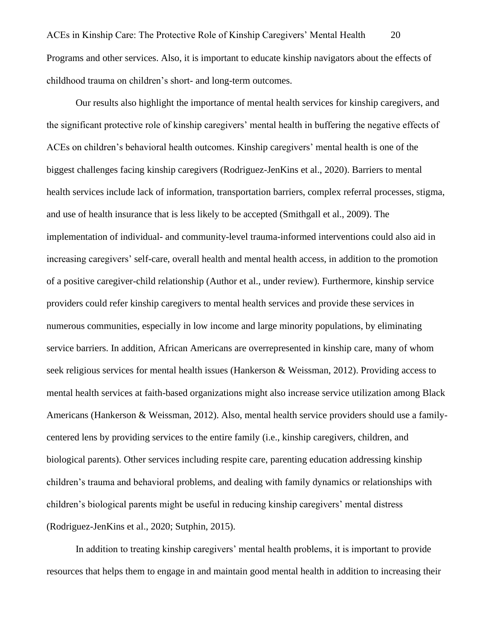Our results also highlight the importance of mental health services for kinship caregivers, and the significant protective role of kinship caregivers' mental health in buffering the negative effects of ACEs on children's behavioral health outcomes. Kinship caregivers' mental health is one of the biggest challenges facing kinship caregivers (Rodriguez-JenKins et al., 2020). Barriers to mental health services include lack of information, transportation barriers, complex referral processes, stigma, and use of health insurance that is less likely to be accepted (Smithgall et al., 2009). The implementation of individual- and community-level trauma-informed interventions could also aid in increasing caregivers' self-care, overall health and mental health access, in addition to the promotion of a positive caregiver-child relationship (Author et al., under review). Furthermore, kinship service providers could refer kinship caregivers to mental health services and provide these services in numerous communities, especially in low income and large minority populations, by eliminating service barriers. In addition, African Americans are overrepresented in kinship care, many of whom seek religious services for mental health issues (Hankerson & Weissman, 2012). Providing access to mental health services at faith-based organizations might also increase service utilization among Black Americans (Hankerson & Weissman, 2012). Also, mental health service providers should use a familycentered lens by providing services to the entire family (i.e., kinship caregivers, children, and biological parents). Other services including respite care, parenting education addressing kinship children's trauma and behavioral problems, and dealing with family dynamics or relationships with children's biological parents might be useful in reducing kinship caregivers' mental distress (Rodriguez-JenKins et al., 2020; Sutphin, 2015).

In addition to treating kinship caregivers' mental health problems, it is important to provide resources that helps them to engage in and maintain good mental health in addition to increasing their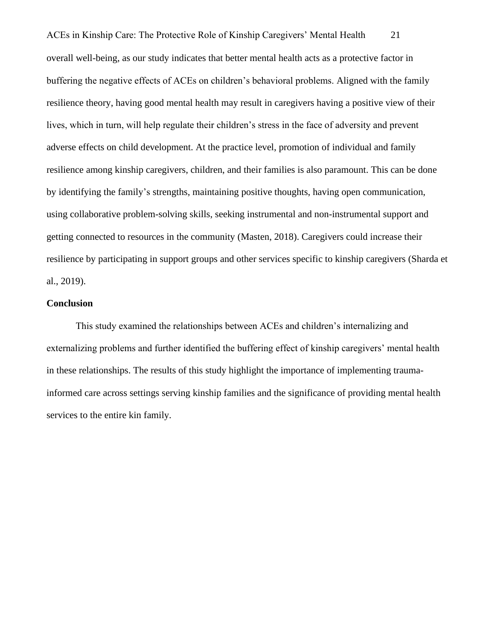ACEs in Kinship Care: The Protective Role of Kinship Caregivers' Mental Health 21 overall well-being, as our study indicates that better mental health acts as a protective factor in buffering the negative effects of ACEs on children's behavioral problems. Aligned with the family resilience theory, having good mental health may result in caregivers having a positive view of their lives, which in turn, will help regulate their children's stress in the face of adversity and prevent adverse effects on child development. At the practice level, promotion of individual and family resilience among kinship caregivers, children, and their families is also paramount. This can be done by identifying the family's strengths, maintaining positive thoughts, having open communication, using collaborative problem-solving skills, seeking instrumental and non-instrumental support and getting connected to resources in the community (Masten, 2018). Caregivers could increase their resilience by participating in support groups and other services specific to kinship caregivers (Sharda et al., 2019).

#### **Conclusion**

This study examined the relationships between ACEs and children's internalizing and externalizing problems and further identified the buffering effect of kinship caregivers' mental health in these relationships. The results of this study highlight the importance of implementing traumainformed care across settings serving kinship families and the significance of providing mental health services to the entire kin family.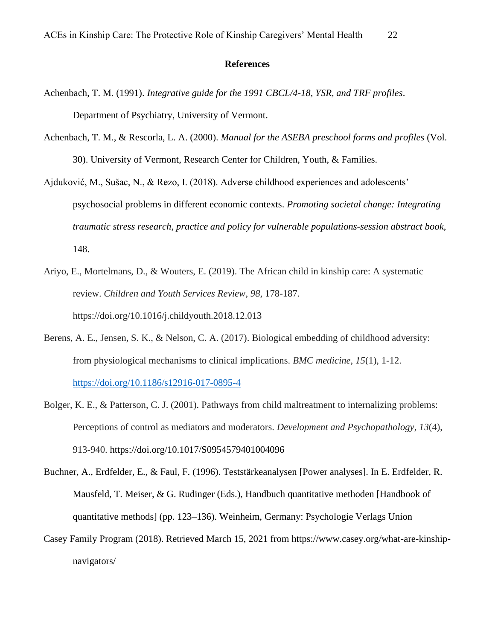#### **References**

- Achenbach, T. M. (1991). *Integrative guide for the 1991 CBCL/4-18, YSR, and TRF profiles*. Department of Psychiatry, University of Vermont.
- Achenbach, T. M., & Rescorla, L. A. (2000). *Manual for the ASEBA preschool forms and profiles* (Vol. 30). University of Vermont, Research Center for Children, Youth, & Families.
- Ajduković, M., Sušac, N., & Rezo, I. (2018). Adverse childhood experiences and adolescents' psychosocial problems in different economic contexts. *Promoting societal change: Integrating traumatic stress research, practice and policy for vulnerable populations-session abstract book*, 148.
- Ariyo, E., Mortelmans, D., & Wouters, E. (2019). The African child in kinship care: A systematic review. *Children and Youth Services Review*, *98*, 178-187. https://doi.org/10.1016/j.childyouth.2018.12.013
- Berens, A. E., Jensen, S. K., & Nelson, C. A. (2017). Biological embedding of childhood adversity: from physiological mechanisms to clinical implications. *BMC medicine*, *15*(1), 1-12. <https://doi.org/10.1186/s12916-017-0895-4>
- Bolger, K. E., & Patterson, C. J. (2001). Pathways from child maltreatment to internalizing problems: Perceptions of control as mediators and moderators. *Development and Psychopathology*, *13*(4), 913-940. https://doi.org/10.1017/S0954579401004096
- Buchner, A., Erdfelder, E., & Faul, F. (1996). Teststärkeanalysen [Power analyses]. In E. Erdfelder, R. Mausfeld, T. Meiser, & G. Rudinger (Eds.), Handbuch quantitative methoden [Handbook of quantitative methods] (pp. 123–136). Weinheim, Germany: Psychologie Verlags Union
- Casey Family Program (2018). Retrieved March 15, 2021 from https://www.casey.org/what-are-kinshipnavigators/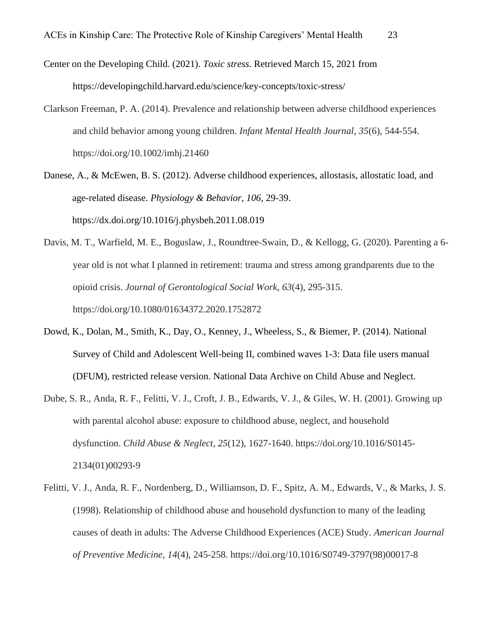Center on the Developing Child. (2021). *Toxic stress*. Retrieved March 15, 2021 from https://developingchild.harvard.edu/science/key-concepts/toxic-stress/

Clarkson Freeman, P. A. (2014). Prevalence and relationship between adverse childhood experiences and child behavior among young children. *Infant Mental Health Journal*, *35*(6), 544-554. https://doi.org/10.1002/imhj.21460

Danese, A., & McEwen, B. S. (2012). Adverse childhood experiences, allostasis, allostatic load, and age-related disease. *Physiology & Behavior, 106*, 29-39. https://dx.doi.org/10.1016/j.physbeh.2011.08.019

- Davis, M. T., Warfield, M. E., Boguslaw, J., Roundtree-Swain, D., & Kellogg, G. (2020). Parenting a 6 year old is not what I planned in retirement: trauma and stress among grandparents due to the opioid crisis. *Journal of Gerontological Social Work*, *63*(4), 295-315. https://doi.org/10.1080/01634372.2020.1752872
- Dowd, K., Dolan, M., Smith, K., Day, O., Kenney, J., Wheeless, S., & Biemer, P. (2014). National Survey of Child and Adolescent Well-being II, combined waves 1-3: Data file users manual (DFUM), restricted release version. National Data Archive on Child Abuse and Neglect.
- Dube, S. R., Anda, R. F., Felitti, V. J., Croft, J. B., Edwards, V. J., & Giles, W. H. (2001). Growing up with parental alcohol abuse: exposure to childhood abuse, neglect, and household dysfunction. *Child Abuse & Neglect*, *25*(12), 1627-1640. https://doi.org/10.1016/S0145- 2134(01)00293-9
- Felitti, V. J., Anda, R. F., Nordenberg, D., Williamson, D. F., Spitz, A. M., Edwards, V., & Marks, J. S. (1998). Relationship of childhood abuse and household dysfunction to many of the leading causes of death in adults: The Adverse Childhood Experiences (ACE) Study. *American Journal of Preventive Medicine*, *14*(4), 245-258. https://doi.org/10.1016/S0749-3797(98)00017-8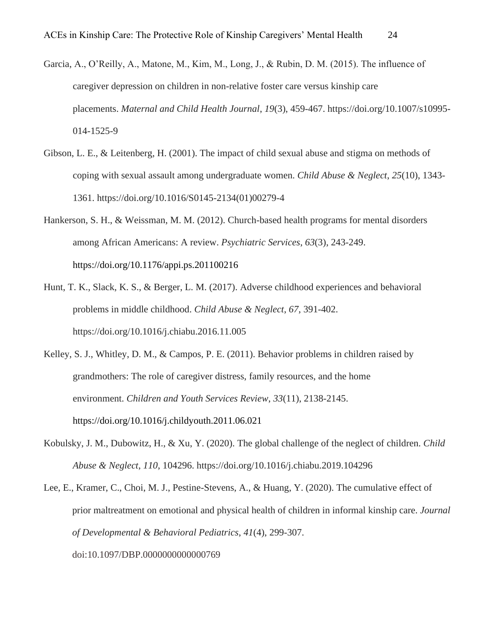- Garcia, A., O'Reilly, A., Matone, M., Kim, M., Long, J., & Rubin, D. M. (2015). The influence of caregiver depression on children in non-relative foster care versus kinship care placements. *Maternal and Child Health Journal*, *19*(3), 459-467. https://doi.org/10.1007/s10995- 014-1525-9
- Gibson, L. E., & Leitenberg, H. (2001). The impact of child sexual abuse and stigma on methods of coping with sexual assault among undergraduate women. *Child Abuse & Neglect*, *25*(10), 1343- 1361. https://doi.org/10.1016/S0145-2134(01)00279-4
- Hankerson, S. H., & Weissman, M. M. (2012). Church-based health programs for mental disorders among African Americans: A review. *Psychiatric Services*, *63*(3), 243-249. https://doi.org/10.1176/appi.ps.201100216
- Hunt, T. K., Slack, K. S., & Berger, L. M. (2017). Adverse childhood experiences and behavioral problems in middle childhood. *Child Abuse & Neglect*, *67*, 391-402. https://doi.org/10.1016/j.chiabu.2016.11.005
- Kelley, S. J., Whitley, D. M., & Campos, P. E. (2011). Behavior problems in children raised by grandmothers: The role of caregiver distress, family resources, and the home environment. *Children and Youth Services Review*, *33*(11), 2138-2145. https://doi.org/10.1016/j.childyouth.2011.06.021
- Kobulsky, J. M., Dubowitz, H., & Xu, Y. (2020). The global challenge of the neglect of children. *Child Abuse & Neglect*, *110*, 104296. https://doi.org/10.1016/j.chiabu.2019.104296
- Lee, E., Kramer, C., Choi, M. J., Pestine-Stevens, A., & Huang, Y. (2020). The cumulative effect of prior maltreatment on emotional and physical health of children in informal kinship care. *Journal of Developmental & Behavioral Pediatrics*, *41*(4), 299-307. doi:10.1097/DBP.0000000000000769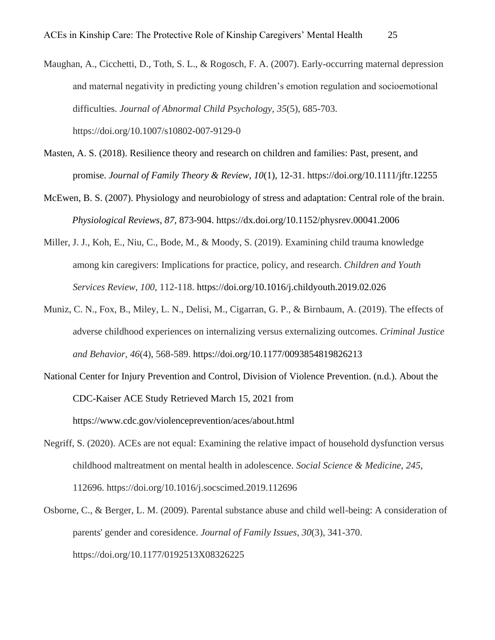- Maughan, A., Cicchetti, D., Toth, S. L., & Rogosch, F. A. (2007). Early-occurring maternal depression and maternal negativity in predicting young children's emotion regulation and socioemotional difficulties. *Journal of Abnormal Child Psychology*, *35*(5), 685-703. https://doi.org/10.1007/s10802-007-9129-0
- Masten, A. S. (2018). Resilience theory and research on children and families: Past, present, and promise. *Journal of Family Theory & Review*, *10*(1), 12-31. https://doi.org/10.1111/jftr.12255
- McEwen, B. S. (2007). Physiology and neurobiology of stress and adaptation: Central role of the brain. *Physiological Reviews, 87*, 873-904. https://dx.doi.org/10.1152/physrev.00041.2006
- Miller, J. J., Koh, E., Niu, C., Bode, M., & Moody, S. (2019). Examining child trauma knowledge among kin caregivers: Implications for practice, policy, and research. *Children and Youth Services Review*, *100*, 112-118. https://doi.org/10.1016/j.childyouth.2019.02.026
- Muniz, C. N., Fox, B., Miley, L. N., Delisi, M., Cigarran, G. P., & Birnbaum, A. (2019). The effects of adverse childhood experiences on internalizing versus externalizing outcomes. *Criminal Justice and Behavior*, *46*(4), 568-589. https://doi.org/10.1177/0093854819826213
- National Center for Injury Prevention and Control, Division of Violence Prevention. (n.d.). About the CDC-Kaiser ACE Study Retrieved March 15, 2021 from https://www.cdc.gov/violenceprevention/aces/about.html
- Negriff, S. (2020). ACEs are not equal: Examining the relative impact of household dysfunction versus childhood maltreatment on mental health in adolescence. *Social Science & Medicine*, *245*, 112696. https://doi.org/10.1016/j.socscimed.2019.112696
- Osborne, C., & Berger, L. M. (2009). Parental substance abuse and child well-being: A consideration of parents' gender and coresidence. *Journal of Family Issues*, *30*(3), 341-370. https://doi.org/10.1177/0192513X08326225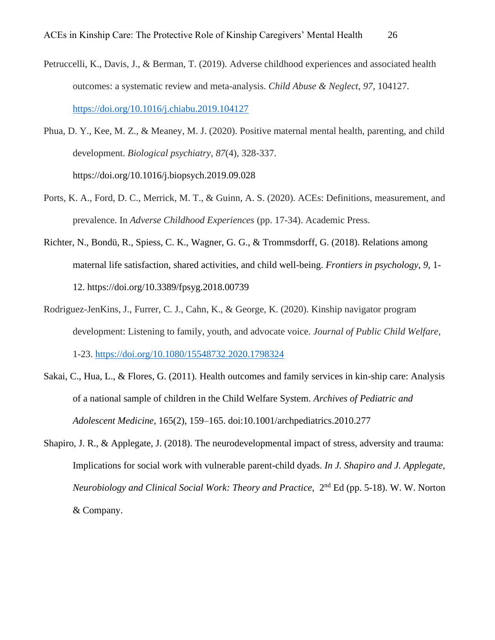- Petruccelli, K., Davis, J., & Berman, T. (2019). Adverse childhood experiences and associated health outcomes: a systematic review and meta-analysis. *Child Abuse & Neglect*, *97*, 104127. <https://doi.org/10.1016/j.chiabu.2019.104127>
- Phua, D. Y., Kee, M. Z., & Meaney, M. J. (2020). Positive maternal mental health, parenting, and child development. *Biological psychiatry*, *87*(4), 328-337. https://doi.org/10.1016/j.biopsych.2019.09.028
- Ports, K. A., Ford, D. C., Merrick, M. T., & Guinn, A. S. (2020). ACEs: Definitions, measurement, and prevalence. In *Adverse Childhood Experiences* (pp. 17-34). Academic Press.
- Richter, N., Bondü, R., Spiess, C. K., Wagner, G. G., & Trommsdorff, G. (2018). Relations among maternal life satisfaction, shared activities, and child well-being. *Frontiers in psychology*, *9*, 1- 12. https://doi.org/10.3389/fpsyg.2018.00739
- Rodriguez-JenKins, J., Furrer, C. J., Cahn, K., & George, K. (2020). Kinship navigator program development: Listening to family, youth, and advocate voice. *Journal of Public Child Welfare*, 1-23.<https://doi.org/10.1080/15548732.2020.1798324>
- Sakai, C., Hua, L., & Flores, G. (2011). Health outcomes and family services in kin-ship care: Analysis of a national sample of children in the Child Welfare System. *Archives of Pediatric and Adolescent Medicine,* 165(2), 159–165. doi:10.1001/archpediatrics.2010.277
- Shapiro, J. R., & Applegate, J. (2018). The neurodevelopmental impact of stress, adversity and trauma: Implications for social work with vulnerable parent-child dyads. *In J. Shapiro and J. Applegate, Neurobiology and Clinical Social Work: Theory and Practice, 2<sup>nd</sup> Ed (pp. 5-18). W. W. Norton* & Company.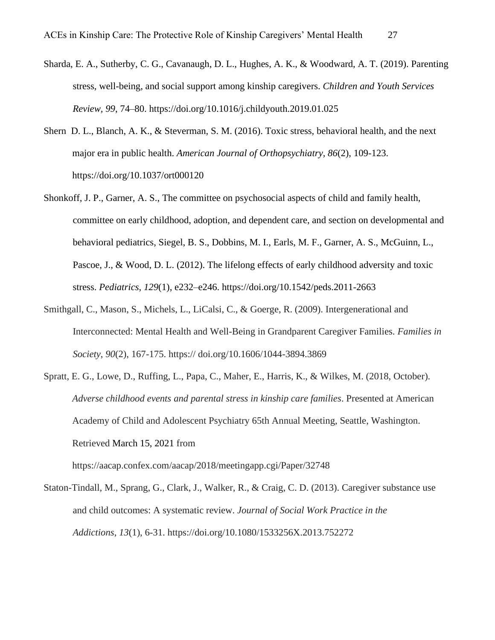- Sharda, E. A., Sutherby, C. G., Cavanaugh, D. L., Hughes, A. K., & Woodward, A. T. (2019). Parenting stress, well-being, and social support among kinship caregivers. *Children and Youth Services Review, 99*, 74–80. https://doi.org/10.1016/j.childyouth.2019.01.025
- Shern D. L., Blanch, A. K., & Steverman, S. M. (2016). Toxic stress, behavioral health, and the next major era in public health. *American Journal of Orthopsychiatry, 86*(2), 109-123. https://doi.org/10.1037/ort000120
- Shonkoff, J. P., Garner, A. S., The committee on psychosocial aspects of child and family health, committee on early childhood, adoption, and dependent care, and section on developmental and behavioral pediatrics, Siegel, B. S., Dobbins, M. I., Earls, M. F., Garner, A. S., McGuinn, L., Pascoe, J., & Wood, D. L. (2012). The lifelong effects of early childhood adversity and toxic stress. *Pediatrics*, *129*(1), e232–e246. https://doi.org/10.1542/peds.2011-2663
- Smithgall, C., Mason, S., Michels, L., LiCalsi, C., & Goerge, R. (2009). Intergenerational and Interconnected: Mental Health and Well-Being in Grandparent Caregiver Families. *Families in Society*, *90*(2), 167-175. https:// doi.org/10.1606/1044-3894.3869
- Spratt, E. G., Lowe, D., Ruffing, L., Papa, C., Maher, E., Harris, K., & Wilkes, M. (2018, October). *Adverse childhood events and parental stress in kinship care families*. Presented at American Academy of Child and Adolescent Psychiatry 65th Annual Meeting, Seattle, Washington. Retrieved March 15, 2021 from https://aacap.confex.com/aacap/2018/meetingapp.cgi/Paper/32748
- Staton-Tindall, M., Sprang, G., Clark, J., Walker, R., & Craig, C. D. (2013). Caregiver substance use and child outcomes: A systematic review. *Journal of Social Work Practice in the Addictions*, *13*(1), 6-31. https://doi.org/10.1080/1533256X.2013.752272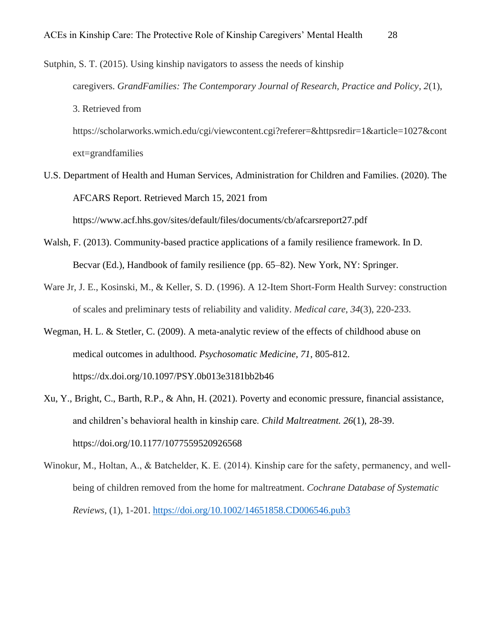Sutphin, S. T. (2015). Using kinship navigators to assess the needs of kinship caregivers. *GrandFamilies: The Contemporary Journal of Research, Practice and Policy*, *2*(1), 3. Retrieved from https://scholarworks.wmich.edu/cgi/viewcontent.cgi?referer=&httpsredir=1&article=1027&cont ext=grandfamilies

- U.S. Department of Health and Human Services, Administration for Children and Families. (2020). The AFCARS Report. Retrieved March 15, 2021 from https://www.acf.hhs.gov/sites/default/files/documents/cb/afcarsreport27.pdf
- Walsh, F. (2013). Community-based practice applications of a family resilience framework. In D. Becvar (Ed.), Handbook of family resilience (pp. 65–82). New York, NY: Springer.
- Ware Jr, J. E., Kosinski, M., & Keller, S. D. (1996). A 12-Item Short-Form Health Survey: construction of scales and preliminary tests of reliability and validity. *Medical care*, *34*(3), 220-233.
- Wegman, H. L. & Stetler, C. (2009). A meta-analytic review of the effects of childhood abuse on medical outcomes in adulthood. *Psychosomatic Medicine, 71*, 805-812. https://dx.doi.org/10.1097/PSY.0b013e3181bb2b46
- Xu, Y., Bright, C., Barth, R.P., & Ahn, H. (2021). Poverty and economic pressure, financial assistance, and children's behavioral health in kinship care. *Child Maltreatment. 26*(1), 28-39. https://doi.org/10.1177/1077559520926568
- Winokur, M., Holtan, A., & Batchelder, K. E. (2014). Kinship care for the safety, permanency, and wellbeing of children removed from the home for maltreatment. *Cochrane Database of Systematic Reviews*, (1), 1-201. <https://doi.org/10.1002/14651858.CD006546.pub3>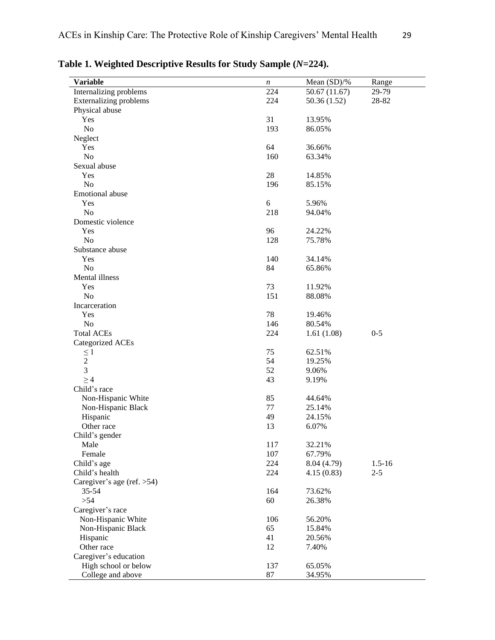| <b>Variable</b>               | $\boldsymbol{n}$ | Mean (SD)/%  | Range      |
|-------------------------------|------------------|--------------|------------|
| Internalizing problems        | 224              | 50.67(11.67) | 29-79      |
| <b>Externalizing problems</b> | 224              | 50.36(1.52)  | 28-82      |
| Physical abuse                |                  |              |            |
| Yes                           | 31               | 13.95%       |            |
| No                            | 193              | 86.05%       |            |
| Neglect                       |                  |              |            |
| Yes                           | 64               | 36.66%       |            |
| N <sub>o</sub>                | 160              | 63.34%       |            |
| Sexual abuse                  |                  |              |            |
| Yes                           | 28               | 14.85%       |            |
| N <sub>0</sub>                | 196              | 85.15%       |            |
| Emotional abuse               |                  |              |            |
| Yes                           | 6                | 5.96%        |            |
| N <sub>o</sub>                | 218              | 94.04%       |            |
| Domestic violence             |                  |              |            |
| Yes                           | 96               | 24.22%       |            |
| N <sub>o</sub>                | 128              | 75.78%       |            |
| Substance abuse               |                  |              |            |
| Yes                           | 140              | 34.14%       |            |
| N <sub>o</sub>                | 84               | 65.86%       |            |
| Mental illness                |                  |              |            |
| Yes                           | 73               | 11.92%       |            |
| N <sub>o</sub>                | 151              | 88.08%       |            |
| Incarceration                 |                  |              |            |
| Yes                           | 78               | 19.46%       |            |
| N <sub>o</sub>                | 146              | 80.54%       |            |
| <b>Total ACEs</b>             | 224              | 1.61(1.08)   | $0 - 5$    |
| <b>Categorized ACEs</b>       |                  |              |            |
| $\leq 1$                      | 75               | 62.51%       |            |
| $\overline{c}$                | 54               | 19.25%       |            |
| 3                             | 52               | 9.06%        |            |
| $\geq 4$                      | 43               | 9.19%        |            |
| Child's race                  |                  |              |            |
| Non-Hispanic White            | 85               | 44.64%       |            |
| Non-Hispanic Black            | 77               | 25.14%       |            |
| Hispanic                      | 49               | 24.15%       |            |
| Other race                    | 13               | 6.07%        |            |
| Child's gender                |                  |              |            |
| Male                          | 117              | 32.21%       |            |
| Female                        | 107              | 67.79%       |            |
| Child's age                   | 224              | 8.04 (4.79)  | $1.5 - 16$ |
| Child's health                | 224              | 4.15(0.83)   | $2 - 5$    |
| Caregiver's age (ref. > 54)   |                  |              |            |
| $35 - 54$                     | 164              | 73.62%       |            |
| $>54$                         | 60               | 26.38%       |            |
| Caregiver's race              |                  |              |            |
| Non-Hispanic White            | 106              | 56.20%       |            |
| Non-Hispanic Black            | 65               | 15.84%       |            |
| Hispanic                      | 41               | 20.56%       |            |
| Other race                    | 12               | 7.40%        |            |
|                               |                  |              |            |
| Caregiver's education         |                  |              |            |
| High school or below          | 137              | 65.05%       |            |
| College and above             | $87\,$           | 34.95%       |            |

**Table 1. Weighted Descriptive Results for Study Sample (***N***=224).**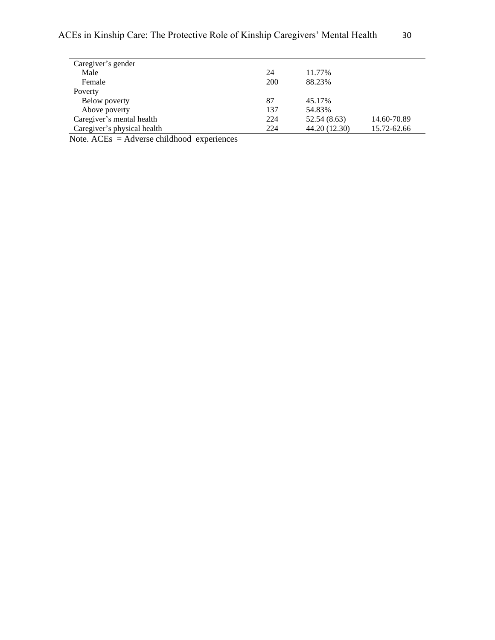| Caregiver's gender          |     |               |             |
|-----------------------------|-----|---------------|-------------|
| Male                        | 24  | 11.77%        |             |
| Female                      | 200 | 88.23%        |             |
| Poverty                     |     |               |             |
| Below poverty               | 87  | 45.17%        |             |
| Above poverty               | 137 | 54.83%        |             |
| Caregiver's mental health   | 224 | 52.54 (8.63)  | 14.60-70.89 |
| Caregiver's physical health | 224 | 44.20 (12.30) | 15.72-62.66 |

Note. ACEs = Adverse childhood experiences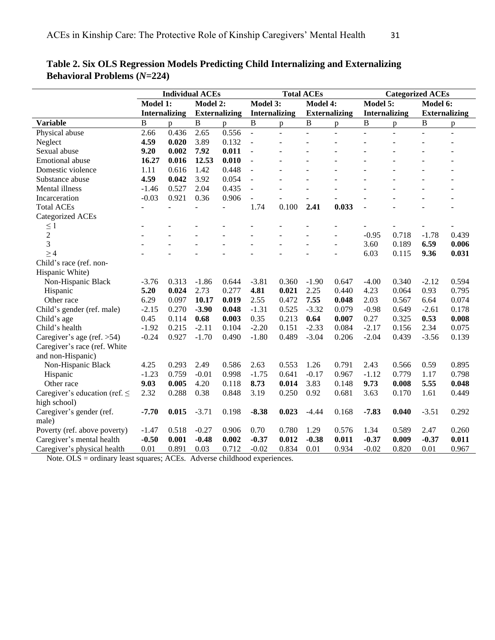| Model 1:<br>Model 3:<br>Model 5:<br>Model 2:<br><b>Model 4:</b><br>Model 6:<br><b>Internalizing</b><br><b>Externalizing</b><br><b>Internalizing</b><br><b>Externalizing</b><br><b>Internalizing</b><br><b>Externalizing</b><br>B<br>$\overline{B}$<br>$\, {\bf B}$<br><b>Variable</b><br>B<br>$\, {\bf B}$<br>B<br>p<br>p<br>p<br>p<br>p<br>p<br>0.556<br>2.66<br>0.436<br>2.65<br>Physical abuse<br>÷.<br>$\overline{a}$<br>$\overline{a}$<br>$\Box$<br>÷,<br>4.59<br>3.89<br>0.132<br>Neglect<br>0.020<br>$\overline{\phantom{a}}$<br>Sexual abuse<br>9.20<br>0.002<br>7.92<br>0.011<br>$\equiv$<br>12.53<br>0.010<br><b>Emotional</b> abuse<br>16.27<br>0.016<br>$\Box$<br>1.42<br>0.448<br>Domestic violence<br>1.11<br>0.616<br>$\bar{\mathcal{L}}$<br>4.59<br>0.042<br>3.92<br>0.054<br>Substance abuse<br>$\overline{a}$<br>0.527<br>0.435<br>Mental illness<br>$-1.46$<br>2.04<br>$\frac{1}{2}$<br>0.921<br>$-0.03$<br>0.36<br>0.906<br>Incarceration<br>$\overline{\phantom{a}}$<br>0.100<br>2.41<br>0.033<br><b>Total ACEs</b><br>1.74<br>$\overline{a}$<br>÷,<br>$\qquad \qquad \blacksquare$<br>Categorized ACEs<br>$\leq$ 1<br>$\sim$<br>$\overline{2}$<br>$-0.95$<br>0.718<br>$-1.78$<br>0.439<br>3<br>6.59<br>3.60<br>0.189<br>0.006<br>L.<br>÷,<br>$\geq 4$<br>6.03<br>9.36<br>0.031<br>0.115<br>Child's race (ref. non-<br>Hispanic White)<br>Non-Hispanic Black<br>$-3.81$<br>0.360<br>$-4.00$<br>0.340<br>$-2.12$<br>0.594<br>$-3.76$<br>0.313<br>$-1.86$<br>0.644<br>$-1.90$<br>0.647<br>5.20<br>4.81<br>4.23<br>0.024<br>2.73<br>0.277<br>0.021<br>2.25<br>0.064<br>0.93<br>0.795<br>Hispanic<br>0.440<br>Other race<br>6.29<br>10.17<br>0.019<br>0.472<br>7.55<br>2.03<br>0.074<br>0.097<br>2.55<br>0.048<br>0.567<br>6.64<br>$-2.15$<br>$-1.31$<br>$-3.32$<br>Child's gender (ref. male)<br>0.270<br>$-3.90$<br>0.048<br>0.525<br>0.079<br>$-0.98$<br>0.649<br>$-2.61$<br>0.178<br>0.45<br>0.68<br>0.003<br>0.35<br>0.213<br>0.64<br>0.27<br>0.53<br>0.008<br>Child's age<br>0.114<br>0.007<br>0.325<br>Child's health<br>$-2.11$<br>0.104<br>$-2.20$<br>$-2.33$<br>0.084<br>$-2.17$<br>2.34<br>0.075<br>$-1.92$<br>0.215<br>0.151<br>0.156<br>0.927<br>0.489<br>$-3.04$<br>$-0.24$<br>$-1.70$<br>0.490<br>$-1.80$<br>0.206<br>$-2.04$<br>0.439<br>$-3.56$<br>0.139<br>Caregiver's age (ref. $>54$ )<br>Caregiver's race (ref. White<br>and non-Hispanic)<br>4.25<br>2.49<br>0.586<br>0.553<br>0.791<br>2.43<br>0.566<br>0.895<br>Non-Hispanic Black<br>0.293<br>2.63<br>1.26<br>0.59<br>$-1.23$<br>$-1.75$<br>$-0.17$<br>$-1.12$<br>Hispanic<br>0.759<br>$-0.01$<br>0.998<br>0.641<br>0.967<br>0.779<br>1.17<br>0.798<br>5.55<br>9.03<br>0.005<br>4.20<br>0.118<br>8.73<br>0.014<br>3.83<br>0.148<br>9.73<br>0.008<br>0.048<br>Other race<br>2.32<br>0.288<br>0.38<br>3.19<br>0.250<br>3.63<br>Caregiver's education (ref. $\leq$<br>0.848<br>0.92<br>0.681<br>0.170<br>1.61<br>0.449 |              | <b>Individual ACEs</b> |  |  | <b>Total ACEs</b> |  |  |  | <b>Categorized ACEs</b> |  |  |  |  |
|---------------------------------------------------------------------------------------------------------------------------------------------------------------------------------------------------------------------------------------------------------------------------------------------------------------------------------------------------------------------------------------------------------------------------------------------------------------------------------------------------------------------------------------------------------------------------------------------------------------------------------------------------------------------------------------------------------------------------------------------------------------------------------------------------------------------------------------------------------------------------------------------------------------------------------------------------------------------------------------------------------------------------------------------------------------------------------------------------------------------------------------------------------------------------------------------------------------------------------------------------------------------------------------------------------------------------------------------------------------------------------------------------------------------------------------------------------------------------------------------------------------------------------------------------------------------------------------------------------------------------------------------------------------------------------------------------------------------------------------------------------------------------------------------------------------------------------------------------------------------------------------------------------------------------------------------------------------------------------------------------------------------------------------------------------------------------------------------------------------------------------------------------------------------------------------------------------------------------------------------------------------------------------------------------------------------------------------------------------------------------------------------------------------------------------------------------------------------------------------------------------------------------------------------------------------------------------------------------------------------------------------------------------------------------------------------------------------------------------------------------------------------------------------------------------------------------------------------------------------------------------------------------------------|--------------|------------------------|--|--|-------------------|--|--|--|-------------------------|--|--|--|--|
|                                                                                                                                                                                                                                                                                                                                                                                                                                                                                                                                                                                                                                                                                                                                                                                                                                                                                                                                                                                                                                                                                                                                                                                                                                                                                                                                                                                                                                                                                                                                                                                                                                                                                                                                                                                                                                                                                                                                                                                                                                                                                                                                                                                                                                                                                                                                                                                                                                                                                                                                                                                                                                                                                                                                                                                                                                                                                                               |              |                        |  |  |                   |  |  |  |                         |  |  |  |  |
|                                                                                                                                                                                                                                                                                                                                                                                                                                                                                                                                                                                                                                                                                                                                                                                                                                                                                                                                                                                                                                                                                                                                                                                                                                                                                                                                                                                                                                                                                                                                                                                                                                                                                                                                                                                                                                                                                                                                                                                                                                                                                                                                                                                                                                                                                                                                                                                                                                                                                                                                                                                                                                                                                                                                                                                                                                                                                                               |              |                        |  |  |                   |  |  |  |                         |  |  |  |  |
|                                                                                                                                                                                                                                                                                                                                                                                                                                                                                                                                                                                                                                                                                                                                                                                                                                                                                                                                                                                                                                                                                                                                                                                                                                                                                                                                                                                                                                                                                                                                                                                                                                                                                                                                                                                                                                                                                                                                                                                                                                                                                                                                                                                                                                                                                                                                                                                                                                                                                                                                                                                                                                                                                                                                                                                                                                                                                                               |              |                        |  |  |                   |  |  |  |                         |  |  |  |  |
|                                                                                                                                                                                                                                                                                                                                                                                                                                                                                                                                                                                                                                                                                                                                                                                                                                                                                                                                                                                                                                                                                                                                                                                                                                                                                                                                                                                                                                                                                                                                                                                                                                                                                                                                                                                                                                                                                                                                                                                                                                                                                                                                                                                                                                                                                                                                                                                                                                                                                                                                                                                                                                                                                                                                                                                                                                                                                                               |              |                        |  |  |                   |  |  |  |                         |  |  |  |  |
|                                                                                                                                                                                                                                                                                                                                                                                                                                                                                                                                                                                                                                                                                                                                                                                                                                                                                                                                                                                                                                                                                                                                                                                                                                                                                                                                                                                                                                                                                                                                                                                                                                                                                                                                                                                                                                                                                                                                                                                                                                                                                                                                                                                                                                                                                                                                                                                                                                                                                                                                                                                                                                                                                                                                                                                                                                                                                                               |              |                        |  |  |                   |  |  |  |                         |  |  |  |  |
|                                                                                                                                                                                                                                                                                                                                                                                                                                                                                                                                                                                                                                                                                                                                                                                                                                                                                                                                                                                                                                                                                                                                                                                                                                                                                                                                                                                                                                                                                                                                                                                                                                                                                                                                                                                                                                                                                                                                                                                                                                                                                                                                                                                                                                                                                                                                                                                                                                                                                                                                                                                                                                                                                                                                                                                                                                                                                                               |              |                        |  |  |                   |  |  |  |                         |  |  |  |  |
|                                                                                                                                                                                                                                                                                                                                                                                                                                                                                                                                                                                                                                                                                                                                                                                                                                                                                                                                                                                                                                                                                                                                                                                                                                                                                                                                                                                                                                                                                                                                                                                                                                                                                                                                                                                                                                                                                                                                                                                                                                                                                                                                                                                                                                                                                                                                                                                                                                                                                                                                                                                                                                                                                                                                                                                                                                                                                                               |              |                        |  |  |                   |  |  |  |                         |  |  |  |  |
|                                                                                                                                                                                                                                                                                                                                                                                                                                                                                                                                                                                                                                                                                                                                                                                                                                                                                                                                                                                                                                                                                                                                                                                                                                                                                                                                                                                                                                                                                                                                                                                                                                                                                                                                                                                                                                                                                                                                                                                                                                                                                                                                                                                                                                                                                                                                                                                                                                                                                                                                                                                                                                                                                                                                                                                                                                                                                                               |              |                        |  |  |                   |  |  |  |                         |  |  |  |  |
|                                                                                                                                                                                                                                                                                                                                                                                                                                                                                                                                                                                                                                                                                                                                                                                                                                                                                                                                                                                                                                                                                                                                                                                                                                                                                                                                                                                                                                                                                                                                                                                                                                                                                                                                                                                                                                                                                                                                                                                                                                                                                                                                                                                                                                                                                                                                                                                                                                                                                                                                                                                                                                                                                                                                                                                                                                                                                                               |              |                        |  |  |                   |  |  |  |                         |  |  |  |  |
|                                                                                                                                                                                                                                                                                                                                                                                                                                                                                                                                                                                                                                                                                                                                                                                                                                                                                                                                                                                                                                                                                                                                                                                                                                                                                                                                                                                                                                                                                                                                                                                                                                                                                                                                                                                                                                                                                                                                                                                                                                                                                                                                                                                                                                                                                                                                                                                                                                                                                                                                                                                                                                                                                                                                                                                                                                                                                                               |              |                        |  |  |                   |  |  |  |                         |  |  |  |  |
|                                                                                                                                                                                                                                                                                                                                                                                                                                                                                                                                                                                                                                                                                                                                                                                                                                                                                                                                                                                                                                                                                                                                                                                                                                                                                                                                                                                                                                                                                                                                                                                                                                                                                                                                                                                                                                                                                                                                                                                                                                                                                                                                                                                                                                                                                                                                                                                                                                                                                                                                                                                                                                                                                                                                                                                                                                                                                                               |              |                        |  |  |                   |  |  |  |                         |  |  |  |  |
|                                                                                                                                                                                                                                                                                                                                                                                                                                                                                                                                                                                                                                                                                                                                                                                                                                                                                                                                                                                                                                                                                                                                                                                                                                                                                                                                                                                                                                                                                                                                                                                                                                                                                                                                                                                                                                                                                                                                                                                                                                                                                                                                                                                                                                                                                                                                                                                                                                                                                                                                                                                                                                                                                                                                                                                                                                                                                                               |              |                        |  |  |                   |  |  |  |                         |  |  |  |  |
|                                                                                                                                                                                                                                                                                                                                                                                                                                                                                                                                                                                                                                                                                                                                                                                                                                                                                                                                                                                                                                                                                                                                                                                                                                                                                                                                                                                                                                                                                                                                                                                                                                                                                                                                                                                                                                                                                                                                                                                                                                                                                                                                                                                                                                                                                                                                                                                                                                                                                                                                                                                                                                                                                                                                                                                                                                                                                                               |              |                        |  |  |                   |  |  |  |                         |  |  |  |  |
|                                                                                                                                                                                                                                                                                                                                                                                                                                                                                                                                                                                                                                                                                                                                                                                                                                                                                                                                                                                                                                                                                                                                                                                                                                                                                                                                                                                                                                                                                                                                                                                                                                                                                                                                                                                                                                                                                                                                                                                                                                                                                                                                                                                                                                                                                                                                                                                                                                                                                                                                                                                                                                                                                                                                                                                                                                                                                                               |              |                        |  |  |                   |  |  |  |                         |  |  |  |  |
|                                                                                                                                                                                                                                                                                                                                                                                                                                                                                                                                                                                                                                                                                                                                                                                                                                                                                                                                                                                                                                                                                                                                                                                                                                                                                                                                                                                                                                                                                                                                                                                                                                                                                                                                                                                                                                                                                                                                                                                                                                                                                                                                                                                                                                                                                                                                                                                                                                                                                                                                                                                                                                                                                                                                                                                                                                                                                                               |              |                        |  |  |                   |  |  |  |                         |  |  |  |  |
|                                                                                                                                                                                                                                                                                                                                                                                                                                                                                                                                                                                                                                                                                                                                                                                                                                                                                                                                                                                                                                                                                                                                                                                                                                                                                                                                                                                                                                                                                                                                                                                                                                                                                                                                                                                                                                                                                                                                                                                                                                                                                                                                                                                                                                                                                                                                                                                                                                                                                                                                                                                                                                                                                                                                                                                                                                                                                                               |              |                        |  |  |                   |  |  |  |                         |  |  |  |  |
|                                                                                                                                                                                                                                                                                                                                                                                                                                                                                                                                                                                                                                                                                                                                                                                                                                                                                                                                                                                                                                                                                                                                                                                                                                                                                                                                                                                                                                                                                                                                                                                                                                                                                                                                                                                                                                                                                                                                                                                                                                                                                                                                                                                                                                                                                                                                                                                                                                                                                                                                                                                                                                                                                                                                                                                                                                                                                                               |              |                        |  |  |                   |  |  |  |                         |  |  |  |  |
|                                                                                                                                                                                                                                                                                                                                                                                                                                                                                                                                                                                                                                                                                                                                                                                                                                                                                                                                                                                                                                                                                                                                                                                                                                                                                                                                                                                                                                                                                                                                                                                                                                                                                                                                                                                                                                                                                                                                                                                                                                                                                                                                                                                                                                                                                                                                                                                                                                                                                                                                                                                                                                                                                                                                                                                                                                                                                                               |              |                        |  |  |                   |  |  |  |                         |  |  |  |  |
|                                                                                                                                                                                                                                                                                                                                                                                                                                                                                                                                                                                                                                                                                                                                                                                                                                                                                                                                                                                                                                                                                                                                                                                                                                                                                                                                                                                                                                                                                                                                                                                                                                                                                                                                                                                                                                                                                                                                                                                                                                                                                                                                                                                                                                                                                                                                                                                                                                                                                                                                                                                                                                                                                                                                                                                                                                                                                                               |              |                        |  |  |                   |  |  |  |                         |  |  |  |  |
|                                                                                                                                                                                                                                                                                                                                                                                                                                                                                                                                                                                                                                                                                                                                                                                                                                                                                                                                                                                                                                                                                                                                                                                                                                                                                                                                                                                                                                                                                                                                                                                                                                                                                                                                                                                                                                                                                                                                                                                                                                                                                                                                                                                                                                                                                                                                                                                                                                                                                                                                                                                                                                                                                                                                                                                                                                                                                                               |              |                        |  |  |                   |  |  |  |                         |  |  |  |  |
|                                                                                                                                                                                                                                                                                                                                                                                                                                                                                                                                                                                                                                                                                                                                                                                                                                                                                                                                                                                                                                                                                                                                                                                                                                                                                                                                                                                                                                                                                                                                                                                                                                                                                                                                                                                                                                                                                                                                                                                                                                                                                                                                                                                                                                                                                                                                                                                                                                                                                                                                                                                                                                                                                                                                                                                                                                                                                                               |              |                        |  |  |                   |  |  |  |                         |  |  |  |  |
|                                                                                                                                                                                                                                                                                                                                                                                                                                                                                                                                                                                                                                                                                                                                                                                                                                                                                                                                                                                                                                                                                                                                                                                                                                                                                                                                                                                                                                                                                                                                                                                                                                                                                                                                                                                                                                                                                                                                                                                                                                                                                                                                                                                                                                                                                                                                                                                                                                                                                                                                                                                                                                                                                                                                                                                                                                                                                                               |              |                        |  |  |                   |  |  |  |                         |  |  |  |  |
|                                                                                                                                                                                                                                                                                                                                                                                                                                                                                                                                                                                                                                                                                                                                                                                                                                                                                                                                                                                                                                                                                                                                                                                                                                                                                                                                                                                                                                                                                                                                                                                                                                                                                                                                                                                                                                                                                                                                                                                                                                                                                                                                                                                                                                                                                                                                                                                                                                                                                                                                                                                                                                                                                                                                                                                                                                                                                                               |              |                        |  |  |                   |  |  |  |                         |  |  |  |  |
|                                                                                                                                                                                                                                                                                                                                                                                                                                                                                                                                                                                                                                                                                                                                                                                                                                                                                                                                                                                                                                                                                                                                                                                                                                                                                                                                                                                                                                                                                                                                                                                                                                                                                                                                                                                                                                                                                                                                                                                                                                                                                                                                                                                                                                                                                                                                                                                                                                                                                                                                                                                                                                                                                                                                                                                                                                                                                                               |              |                        |  |  |                   |  |  |  |                         |  |  |  |  |
|                                                                                                                                                                                                                                                                                                                                                                                                                                                                                                                                                                                                                                                                                                                                                                                                                                                                                                                                                                                                                                                                                                                                                                                                                                                                                                                                                                                                                                                                                                                                                                                                                                                                                                                                                                                                                                                                                                                                                                                                                                                                                                                                                                                                                                                                                                                                                                                                                                                                                                                                                                                                                                                                                                                                                                                                                                                                                                               |              |                        |  |  |                   |  |  |  |                         |  |  |  |  |
|                                                                                                                                                                                                                                                                                                                                                                                                                                                                                                                                                                                                                                                                                                                                                                                                                                                                                                                                                                                                                                                                                                                                                                                                                                                                                                                                                                                                                                                                                                                                                                                                                                                                                                                                                                                                                                                                                                                                                                                                                                                                                                                                                                                                                                                                                                                                                                                                                                                                                                                                                                                                                                                                                                                                                                                                                                                                                                               |              |                        |  |  |                   |  |  |  |                         |  |  |  |  |
|                                                                                                                                                                                                                                                                                                                                                                                                                                                                                                                                                                                                                                                                                                                                                                                                                                                                                                                                                                                                                                                                                                                                                                                                                                                                                                                                                                                                                                                                                                                                                                                                                                                                                                                                                                                                                                                                                                                                                                                                                                                                                                                                                                                                                                                                                                                                                                                                                                                                                                                                                                                                                                                                                                                                                                                                                                                                                                               |              |                        |  |  |                   |  |  |  |                         |  |  |  |  |
|                                                                                                                                                                                                                                                                                                                                                                                                                                                                                                                                                                                                                                                                                                                                                                                                                                                                                                                                                                                                                                                                                                                                                                                                                                                                                                                                                                                                                                                                                                                                                                                                                                                                                                                                                                                                                                                                                                                                                                                                                                                                                                                                                                                                                                                                                                                                                                                                                                                                                                                                                                                                                                                                                                                                                                                                                                                                                                               |              |                        |  |  |                   |  |  |  |                         |  |  |  |  |
|                                                                                                                                                                                                                                                                                                                                                                                                                                                                                                                                                                                                                                                                                                                                                                                                                                                                                                                                                                                                                                                                                                                                                                                                                                                                                                                                                                                                                                                                                                                                                                                                                                                                                                                                                                                                                                                                                                                                                                                                                                                                                                                                                                                                                                                                                                                                                                                                                                                                                                                                                                                                                                                                                                                                                                                                                                                                                                               |              |                        |  |  |                   |  |  |  |                         |  |  |  |  |
|                                                                                                                                                                                                                                                                                                                                                                                                                                                                                                                                                                                                                                                                                                                                                                                                                                                                                                                                                                                                                                                                                                                                                                                                                                                                                                                                                                                                                                                                                                                                                                                                                                                                                                                                                                                                                                                                                                                                                                                                                                                                                                                                                                                                                                                                                                                                                                                                                                                                                                                                                                                                                                                                                                                                                                                                                                                                                                               |              |                        |  |  |                   |  |  |  |                         |  |  |  |  |
|                                                                                                                                                                                                                                                                                                                                                                                                                                                                                                                                                                                                                                                                                                                                                                                                                                                                                                                                                                                                                                                                                                                                                                                                                                                                                                                                                                                                                                                                                                                                                                                                                                                                                                                                                                                                                                                                                                                                                                                                                                                                                                                                                                                                                                                                                                                                                                                                                                                                                                                                                                                                                                                                                                                                                                                                                                                                                                               |              |                        |  |  |                   |  |  |  |                         |  |  |  |  |
|                                                                                                                                                                                                                                                                                                                                                                                                                                                                                                                                                                                                                                                                                                                                                                                                                                                                                                                                                                                                                                                                                                                                                                                                                                                                                                                                                                                                                                                                                                                                                                                                                                                                                                                                                                                                                                                                                                                                                                                                                                                                                                                                                                                                                                                                                                                                                                                                                                                                                                                                                                                                                                                                                                                                                                                                                                                                                                               |              |                        |  |  |                   |  |  |  |                         |  |  |  |  |
|                                                                                                                                                                                                                                                                                                                                                                                                                                                                                                                                                                                                                                                                                                                                                                                                                                                                                                                                                                                                                                                                                                                                                                                                                                                                                                                                                                                                                                                                                                                                                                                                                                                                                                                                                                                                                                                                                                                                                                                                                                                                                                                                                                                                                                                                                                                                                                                                                                                                                                                                                                                                                                                                                                                                                                                                                                                                                                               | high school) |                        |  |  |                   |  |  |  |                         |  |  |  |  |
| $-7.70$<br>0.015<br>$-3.71$<br>0.198<br>$-8.38$<br>0.023<br>$-7.83$<br>0.040<br>0.292<br>Caregiver's gender (ref.<br>$-4.44$<br>0.168<br>$-3.51$                                                                                                                                                                                                                                                                                                                                                                                                                                                                                                                                                                                                                                                                                                                                                                                                                                                                                                                                                                                                                                                                                                                                                                                                                                                                                                                                                                                                                                                                                                                                                                                                                                                                                                                                                                                                                                                                                                                                                                                                                                                                                                                                                                                                                                                                                                                                                                                                                                                                                                                                                                                                                                                                                                                                                              |              |                        |  |  |                   |  |  |  |                         |  |  |  |  |
| male)                                                                                                                                                                                                                                                                                                                                                                                                                                                                                                                                                                                                                                                                                                                                                                                                                                                                                                                                                                                                                                                                                                                                                                                                                                                                                                                                                                                                                                                                                                                                                                                                                                                                                                                                                                                                                                                                                                                                                                                                                                                                                                                                                                                                                                                                                                                                                                                                                                                                                                                                                                                                                                                                                                                                                                                                                                                                                                         |              |                        |  |  |                   |  |  |  |                         |  |  |  |  |
| 0.906<br>0.70<br>0.780<br>0.576<br>1.34<br>0.589<br>0.260<br>Poverty (ref. above poverty)<br>$-1.47$<br>0.518<br>$-0.27$<br>1.29<br>2.47                                                                                                                                                                                                                                                                                                                                                                                                                                                                                                                                                                                                                                                                                                                                                                                                                                                                                                                                                                                                                                                                                                                                                                                                                                                                                                                                                                                                                                                                                                                                                                                                                                                                                                                                                                                                                                                                                                                                                                                                                                                                                                                                                                                                                                                                                                                                                                                                                                                                                                                                                                                                                                                                                                                                                                      |              |                        |  |  |                   |  |  |  |                         |  |  |  |  |
| 0.001<br>$-0.48$<br>0.002<br>$-0.37$<br>0.012<br>$-0.38$<br>0.011<br>$-0.37$<br>0.011<br>Caregiver's mental health<br>$-0.50$<br>0.009<br>$-0.37$                                                                                                                                                                                                                                                                                                                                                                                                                                                                                                                                                                                                                                                                                                                                                                                                                                                                                                                                                                                                                                                                                                                                                                                                                                                                                                                                                                                                                                                                                                                                                                                                                                                                                                                                                                                                                                                                                                                                                                                                                                                                                                                                                                                                                                                                                                                                                                                                                                                                                                                                                                                                                                                                                                                                                             |              |                        |  |  |                   |  |  |  |                         |  |  |  |  |
| 0.01<br>0.891<br>0.03<br>0.712<br>$-0.02$<br>0.834<br>0.934<br>$-0.02$<br>0.820<br>0.01<br>0.967<br>Caregiver's physical health<br>0.01                                                                                                                                                                                                                                                                                                                                                                                                                                                                                                                                                                                                                                                                                                                                                                                                                                                                                                                                                                                                                                                                                                                                                                                                                                                                                                                                                                                                                                                                                                                                                                                                                                                                                                                                                                                                                                                                                                                                                                                                                                                                                                                                                                                                                                                                                                                                                                                                                                                                                                                                                                                                                                                                                                                                                                       |              |                        |  |  |                   |  |  |  |                         |  |  |  |  |

| Table 2. Six OLS Regression Models Predicting Child Internalizing and Externalizing |  |
|-------------------------------------------------------------------------------------|--|
| <b>Behavioral Problems</b> $(N=224)$                                                |  |

Note. OLS = ordinary least squares; ACEs. Adverse childhood experiences.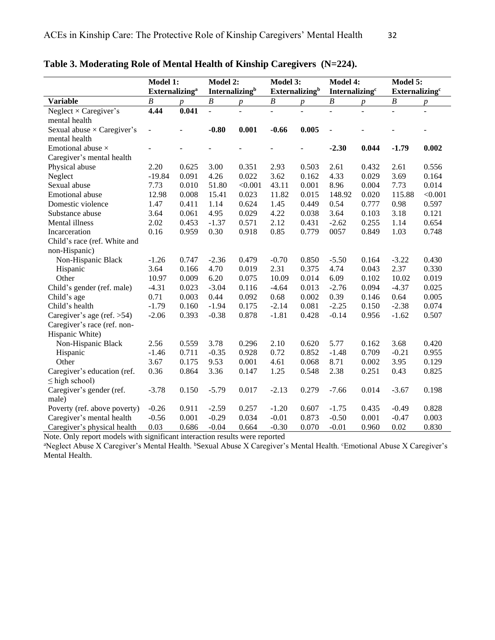|                                   | <b>Model 1:</b>                   |                  | Model 2:                   |         | Model 3:                          |                  | Model 4:                   |       | Model 5:                          |         |
|-----------------------------------|-----------------------------------|------------------|----------------------------|---------|-----------------------------------|------------------|----------------------------|-------|-----------------------------------|---------|
|                                   | <b>Externalizing</b> <sup>a</sup> |                  | Internalizing <sup>b</sup> |         | <b>Externalizing</b> <sup>b</sup> |                  | Internalizing <sup>c</sup> |       | <b>Externalizing</b> <sup>c</sup> |         |
| <b>Variable</b>                   | $\boldsymbol{B}$                  | $\boldsymbol{p}$ | $\boldsymbol{B}$           | p       | $\boldsymbol{B}$                  | $\boldsymbol{p}$ | $\boldsymbol{B}$           | p     | $\boldsymbol{B}$                  | p       |
| Neglect $\times$ Caregiver's      | 4.44                              | 0.041            | $\overline{a}$             |         |                                   |                  |                            |       | $\overline{a}$                    |         |
| mental health                     |                                   |                  |                            |         |                                   |                  |                            |       |                                   |         |
| Sexual abuse $\times$ Caregiver's | ÷,                                |                  | $-0.80$                    | 0.001   | $-0.66$                           | 0.005            | $\overline{a}$             |       |                                   |         |
| mental health                     |                                   |                  |                            |         |                                   |                  |                            |       |                                   |         |
| Emotional abuse $\times$          | $\blacksquare$                    |                  |                            |         |                                   |                  | $-2.30$                    | 0.044 | $-1.79$                           | 0.002   |
| Caregiver's mental health         |                                   |                  |                            |         |                                   |                  |                            |       |                                   |         |
| Physical abuse                    | 2.20                              | 0.625            | 3.00                       | 0.351   | 2.93                              | 0.503            | 2.61                       | 0.432 | 2.61                              | 0.556   |
| Neglect                           | $-19.84$                          | 0.091            | 4.26                       | 0.022   | 3.62                              | 0.162            | 4.33                       | 0.029 | 3.69                              | 0.164   |
| Sexual abuse                      | 7.73                              | 0.010            | 51.80                      | < 0.001 | 43.11                             | 0.001            | 8.96                       | 0.004 | 7.73                              | 0.014   |
| Emotional abuse                   | 12.98                             | 0.008            | 15.41                      | 0.023   | 11.82                             | 0.015            | 148.92                     | 0.020 | 115.88                            | < 0.001 |
| Domestic violence                 | 1.47                              | 0.411            | 1.14                       | 0.624   | 1.45                              | 0.449            | 0.54                       | 0.777 | 0.98                              | 0.597   |
| Substance abuse                   | 3.64                              | 0.061            | 4.95                       | 0.029   | 4.22                              | 0.038            | 3.64                       | 0.103 | 3.18                              | 0.121   |
| Mental illness                    | 2.02                              | 0.453            | $-1.37$                    | 0.571   | 2.12                              | 0.431            | $-2.62$                    | 0.255 | 1.14                              | 0.654   |
| Incarceration                     | 0.16                              | 0.959            | 0.30                       | 0.918   | 0.85                              | 0.779            | 0057                       | 0.849 | 1.03                              | 0.748   |
| Child's race (ref. White and      |                                   |                  |                            |         |                                   |                  |                            |       |                                   |         |
| non-Hispanic)                     |                                   |                  |                            |         |                                   |                  |                            |       |                                   |         |
| Non-Hispanic Black                | $-1.26$                           | 0.747            | $-2.36$                    | 0.479   | $-0.70$                           | 0.850            | $-5.50$                    | 0.164 | $-3.22$                           | 0.430   |
| Hispanic                          | 3.64                              | 0.166            | 4.70                       | 0.019   | 2.31                              | 0.375            | 4.74                       | 0.043 | 2.37                              | 0.330   |
| Other                             | 10.97                             | 0.009            | 6.20                       | 0.075   | 10.09                             | 0.014            | 6.09                       | 0.102 | 10.02                             | 0.019   |
| Child's gender (ref. male)        | $-4.31$                           | 0.023            | $-3.04$                    | 0.116   | $-4.64$                           | 0.013            | $-2.76$                    | 0.094 | $-4.37$                           | 0.025   |
| Child's age                       | 0.71                              | 0.003            | 0.44                       | 0.092   | 0.68                              | 0.002            | 0.39                       | 0.146 | 0.64                              | 0.005   |
| Child's health                    | $-1.79$                           | 0.160            | $-1.94$                    | 0.175   | $-2.14$                           | 0.081            | $-2.25$                    | 0.150 | $-2.38$                           | 0.074   |
| Caregiver's age (ref. $>54$ )     | $-2.06$                           | 0.393            | $-0.38$                    | 0.878   | $-1.81$                           | 0.428            | $-0.14$                    | 0.956 | $-1.62$                           | 0.507   |
| Caregiver's race (ref. non-       |                                   |                  |                            |         |                                   |                  |                            |       |                                   |         |
| Hispanic White)                   |                                   |                  |                            |         |                                   |                  |                            |       |                                   |         |
| Non-Hispanic Black                | 2.56                              | 0.559            | 3.78                       | 0.296   | 2.10                              | 0.620            | 5.77                       | 0.162 | 3.68                              | 0.420   |
| Hispanic                          | $-1.46$                           | 0.711            | $-0.35$                    | 0.928   | 0.72                              | 0.852            | $-1.48$                    | 0.709 | $-0.21$                           | 0.955   |
| Other                             | 3.67                              | 0.175            | 9.53                       | 0.001   | 4.61                              | 0.068            | 8.71                       | 0.002 | 3.95                              | 0.129   |
| Caregiver's education (ref.       | 0.36                              | 0.864            | 3.36                       | 0.147   | 1.25                              | 0.548            | 2.38                       | 0.251 | 0.43                              | 0.825   |
| $\leq$ high school)               |                                   |                  |                            |         |                                   |                  |                            |       |                                   |         |
| Caregiver's gender (ref.          | $-3.78$                           | 0.150            | $-5.79$                    | 0.017   | $-2.13$                           | 0.279            | $-7.66$                    | 0.014 | $-3.67$                           | 0.198   |
| male)                             |                                   |                  |                            |         |                                   |                  |                            |       |                                   |         |
| Poverty (ref. above poverty)      | $-0.26$                           | 0.911            | $-2.59$                    | 0.257   | $-1.20$                           | 0.607            | $-1.75$                    | 0.435 | $-0.49$                           | 0.828   |
| Caregiver's mental health         | $-0.56$                           | 0.001            | $-0.29$                    | 0.034   | $-0.01$                           | 0.873            | $-0.50$                    | 0.001 | $-0.47$                           | 0.003   |
| Caregiver's physical health       | 0.03                              | 0.686            | $-0.04$                    | 0.664   | $-0.30$                           | 0.070            | $-0.01$                    | 0.960 | 0.02                              | 0.830   |

**Table 3. Moderating Role of Mental Health of Kinship Caregivers (N=224).**

Note. Only report models with significant interaction results were reported

<sup>a</sup>Neglect Abuse X Caregiver's Mental Health. <sup>b</sup>Sexual Abuse X Caregiver's Mental Health. <sup>c</sup>Emotional Abuse X Caregiver's Mental Health.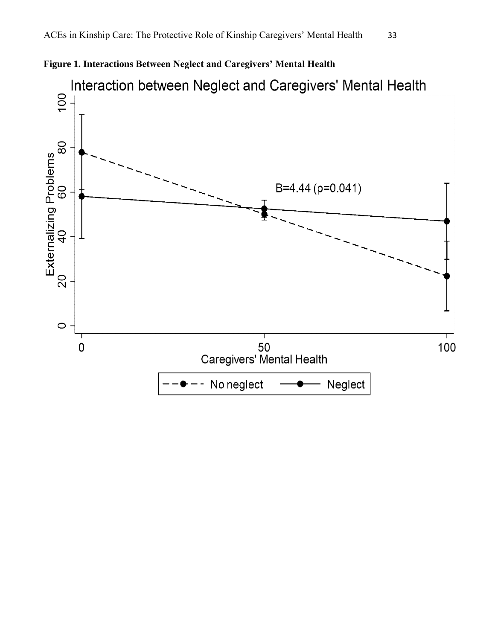